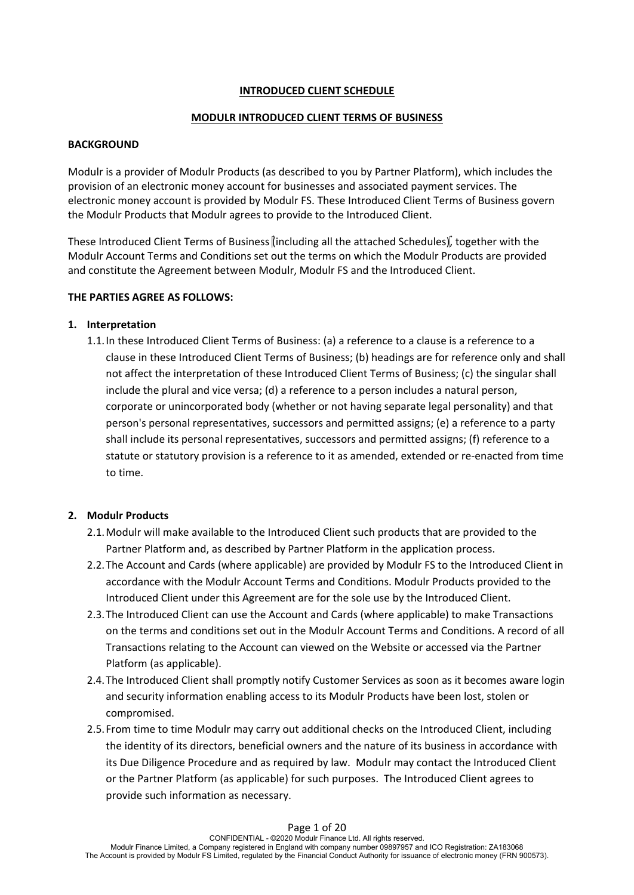## **INTRODUCED CLIENT SCHEDULE**

## **MODULR INTRODUCED CLIENT TERMS OF BUSINESS**

## **BACKGROUND**

Modulr is a provider of Modulr Products (as described to you by Partner Platform), which includes the provision of an electronic money account for businesses and associated payment services. The electronic money account is provided by Modulr FS. These Introduced Client Terms of Business govern the Modulr Products that Modulr agrees to provide to the Introduced Client.

These Introduced Client Terms of Business (including all the attached Schedules), together with the Modulr Account Terms and Conditions set out the terms on which the Modulr Products are provided and constitute the Agreement between Modulr, Modulr FS and the Introduced Client.

## **THE PARTIES AGREE AS FOLLOWS:**

## **1. Interpretation**

1.1.In these Introduced Client Terms of Business: (a) a reference to a clause is a reference to a clause in these Introduced Client Terms of Business; (b) headings are for reference only and shall not affect the interpretation of these Introduced Client Terms of Business; (c) the singular shall include the plural and vice versa; (d) a reference to a person includes a natural person, corporate or unincorporated body (whether or not having separate legal personality) and that person's personal representatives, successors and permitted assigns; (e) a reference to a party shall include its personal representatives, successors and permitted assigns; (f) reference to a statute or statutory provision is a reference to it as amended, extended or re-enacted from time to time.

# **2. Modulr Products**

- 2.1.Modulr will make available to the Introduced Client such products that are provided to the Partner Platform and, as described by Partner Platform in the application process.
- 2.2.The Account and Cards (where applicable) are provided by Modulr FS to the Introduced Client in accordance with the Modulr Account Terms and Conditions. Modulr Products provided to the Introduced Client under this Agreement are for the sole use by the Introduced Client.
- 2.3.The Introduced Client can use the Account and Cards (where applicable) to make Transactions on the terms and conditions set out in the Modulr Account Terms and Conditions. A record of all Transactions relating to the Account can viewed on the Website or accessed via the Partner Platform (as applicable).
- 2.4.The Introduced Client shall promptly notify Customer Services as soon as it becomes aware login and security information enabling access to its Modulr Products have been lost, stolen or compromised.
- 2.5.From time to time Modulr may carry out additional checks on the Introduced Client, including the identity of its directors, beneficial owners and the nature of its business in accordance with its Due Diligence Procedure and as required by law. Modulr may contact the Introduced Client or the Partner Platform (as applicable) for such purposes. The Introduced Client agrees to provide such information as necessary.

## Page 1 of 20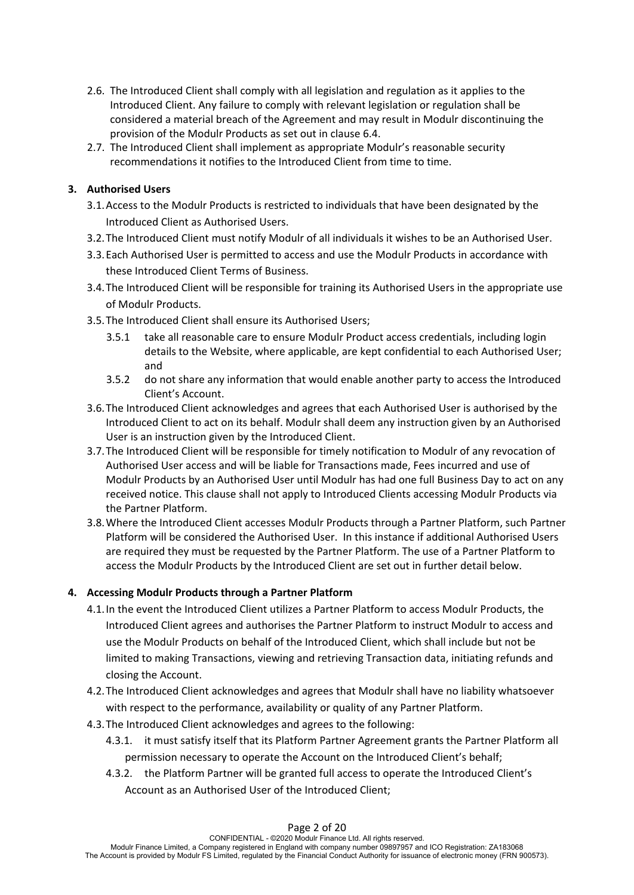- 2.6. The Introduced Client shall comply with all legislation and regulation as it applies to the Introduced Client. Any failure to comply with relevant legislation or regulation shall be considered a material breach of the Agreement and may result in Modulr discontinuing the
- provision of the Modulr Products as set out in clause 6.4. 2.7. The Introduced Client shall implement as appropriate Modulr's reasonable security recommendations it notifies to the Introduced Client from time to time.

## **3. Authorised Users**

- 3.1.Access to the Modulr Products is restricted to individuals that have been designated by the Introduced Client as Authorised Users.
- 3.2.The Introduced Client must notify Modulr of all individuals it wishes to be an Authorised User.
- 3.3.Each Authorised User is permitted to access and use the Modulr Products in accordance with these Introduced Client Terms of Business.
- 3.4.The Introduced Client will be responsible for training its Authorised Users in the appropriate use of Modulr Products.
- 3.5.The Introduced Client shall ensure its Authorised Users;
	- 3.5.1 take all reasonable care to ensure Modulr Product access credentials, including login details to the Website, where applicable, are kept confidential to each Authorised User; and
	- 3.5.2 do not share any information that would enable another party to access the Introduced Client's Account.
- 3.6.The Introduced Client acknowledges and agrees that each Authorised User is authorised by the Introduced Client to act on its behalf. Modulr shall deem any instruction given by an Authorised User is an instruction given by the Introduced Client.
- 3.7.The Introduced Client will be responsible for timely notification to Modulr of any revocation of Authorised User access and will be liable for Transactions made, Fees incurred and use of Modulr Products by an Authorised User until Modulr has had one full Business Day to act on any received notice. This clause shall not apply to Introduced Clients accessing Modulr Products via the Partner Platform.
- 3.8.Where the Introduced Client accesses Modulr Products through a Partner Platform, such Partner Platform will be considered the Authorised User. In this instance if additional Authorised Users are required they must be requested by the Partner Platform. The use of a Partner Platform to access the Modulr Products by the Introduced Client are set out in further detail below.

## **4. Accessing Modulr Products through a Partner Platform**

- 4.1.In the event the Introduced Client utilizes a Partner Platform to access Modulr Products, the Introduced Client agrees and authorises the Partner Platform to instruct Modulr to access and use the Modulr Products on behalf of the Introduced Client, which shall include but not be limited to making Transactions, viewing and retrieving Transaction data, initiating refunds and closing the Account.
- 4.2.The Introduced Client acknowledges and agrees that Modulr shall have no liability whatsoever with respect to the performance, availability or quality of any Partner Platform.
- 4.3.The Introduced Client acknowledges and agrees to the following:
	- 4.3.1. it must satisfy itself that its Platform Partner Agreement grants the Partner Platform all permission necessary to operate the Account on the Introduced Client's behalf;
	- 4.3.2. the Platform Partner will be granted full access to operate the Introduced Client's Account as an Authorised User of the Introduced Client;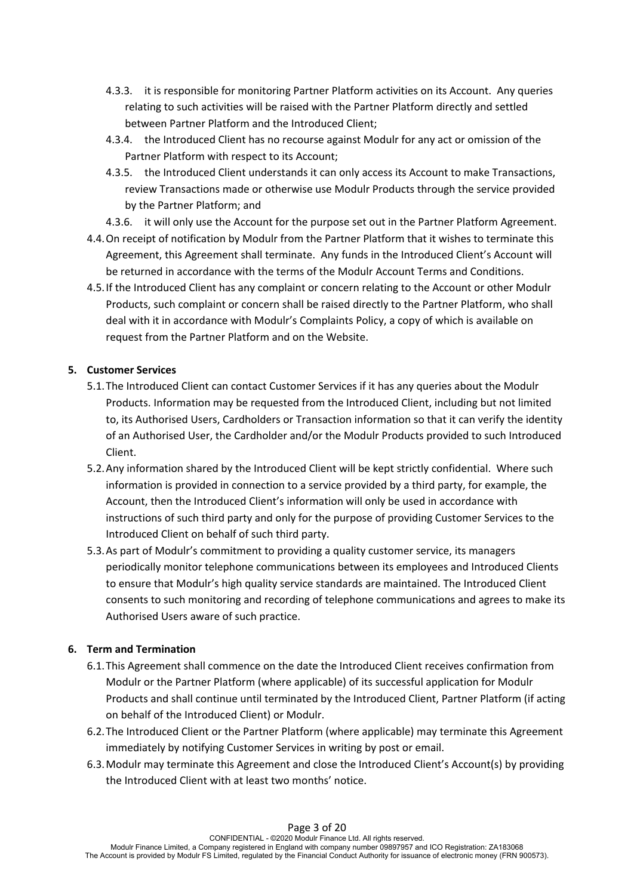- 4.3.3. it is responsible for monitoring Partner Platform activities on its Account. Any queries relating to such activities will be raised with the Partner Platform directly and settled between Partner Platform and the Introduced Client;
- 4.3.4. the Introduced Client has no recourse against Modulr for any act or omission of the Partner Platform with respect to its Account;
- 4.3.5. the Introduced Client understands it can only access its Account to make Transactions, review Transactions made or otherwise use Modulr Products through the service provided by the Partner Platform; and
- 4.3.6. it will only use the Account for the purpose set out in the Partner Platform Agreement.
- 4.4.On receipt of notification by Modulr from the Partner Platform that it wishes to terminate this Agreement, this Agreement shall terminate. Any funds in the Introduced Client's Account will be returned in accordance with the terms of the Modulr Account Terms and Conditions.
- 4.5.If the Introduced Client has any complaint or concern relating to the Account or other Modulr Products, such complaint or concern shall be raised directly to the Partner Platform, who shall deal with it in accordance with Modulr's Complaints Policy, a copy of which is available on request from the Partner Platform and on the Website.

# **5. Customer Services**

- 5.1.The Introduced Client can contact Customer Services if it has any queries about the Modulr Products. Information may be requested from the Introduced Client, including but not limited to, its Authorised Users, Cardholders or Transaction information so that it can verify the identity of an Authorised User, the Cardholder and/or the Modulr Products provided to such Introduced Client.
- 5.2.Any information shared by the Introduced Client will be kept strictly confidential. Where such information is provided in connection to a service provided by a third party, for example, the Account, then the Introduced Client's information will only be used in accordance with instructions of such third party and only for the purpose of providing Customer Services to the Introduced Client on behalf of such third party.
- 5.3.As part of Modulr's commitment to providing a quality customer service, its managers periodically monitor telephone communications between its employees and Introduced Clients to ensure that Modulr's high quality service standards are maintained. The Introduced Client consents to such monitoring and recording of telephone communications and agrees to make its Authorised Users aware of such practice.

# **6. Term and Termination**

- 6.1.This Agreement shall commence on the date the Introduced Client receives confirmation from Modulr or the Partner Platform (where applicable) of its successful application for Modulr Products and shall continue until terminated by the Introduced Client, Partner Platform (if acting on behalf of the Introduced Client) or Modulr.
- 6.2.The Introduced Client or the Partner Platform (where applicable) may terminate this Agreement immediately by notifying Customer Services in writing by post or email.
- 6.3.Modulr may terminate this Agreement and close the Introduced Client's Account(s) by providing the Introduced Client with at least two months' notice.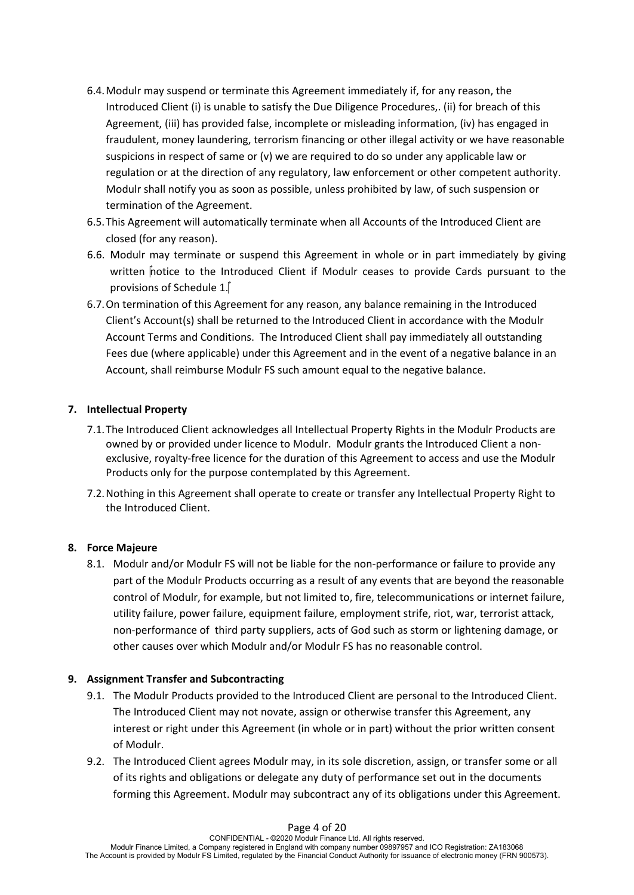- 6.4.Modulr may suspend or terminate this Agreement immediately if, for any reason, the Introduced Client (i) is unable to satisfy the Due Diligence Procedures,. (ii) for breach of this Agreement, (iii) has provided false, incomplete or misleading information, (iv) has engaged in fraudulent, money laundering, terrorism financing or other illegal activity or we have reasonable suspicions in respect of same or (v) we are required to do so under any applicable law or regulation or at the direction of any regulatory, law enforcement or other competent authority. Modulr shall notify you as soon as possible, unless prohibited by law, of such suspension or termination of the Agreement.
- 6.5.This Agreement will automatically terminate when all Accounts of the Introduced Client are closed (for any reason).
- 6.6. Modulr may terminate or suspend this Agreement in whole or in part immediately by giving written notice to the Introduced Client if Modulr ceases to provide Cards pursuant to the provisions of Schedule 1.
- 6.7.On termination of this Agreement for any reason, any balance remaining in the Introduced Client's Account(s) shall be returned to the Introduced Client in accordance with the Modulr Account Terms and Conditions. The Introduced Client shall pay immediately all outstanding Fees due (where applicable) under this Agreement and in the event of a negative balance in an Account, shall reimburse Modulr FS such amount equal to the negative balance.

# **7. Intellectual Property**

- 7.1.The Introduced Client acknowledges all Intellectual Property Rights in the Modulr Products are owned by or provided under licence to Modulr. Modulr grants the Introduced Client a nonexclusive, royalty-free licence for the duration of this Agreement to access and use the Modulr Products only for the purpose contemplated by this Agreement.
- 7.2.Nothing in this Agreement shall operate to create or transfer any Intellectual Property Right to the Introduced Client.

# **8. Force Majeure**

8.1. Modulr and/or Modulr FS will not be liable for the non-performance or failure to provide any part of the Modulr Products occurring as a result of any events that are beyond the reasonable control of Modulr, for example, but not limited to, fire, telecommunications or internet failure, utility failure, power failure, equipment failure, employment strife, riot, war, terrorist attack, non-performance of third party suppliers, acts of God such as storm or lightening damage, or other causes over which Modulr and/or Modulr FS has no reasonable control.

# **9. Assignment Transfer and Subcontracting**

- 9.1. The Modulr Products provided to the Introduced Client are personal to the Introduced Client. The Introduced Client may not novate, assign or otherwise transfer this Agreement, any interest or right under this Agreement (in whole or in part) without the prior written consent of Modulr.
- 9.2. The Introduced Client agrees Modulr may, in its sole discretion, assign, or transfer some or all of its rights and obligations or delegate any duty of performance set out in the documents forming this Agreement. Modulr may subcontract any of its obligations under this Agreement.

### Page 4 of 20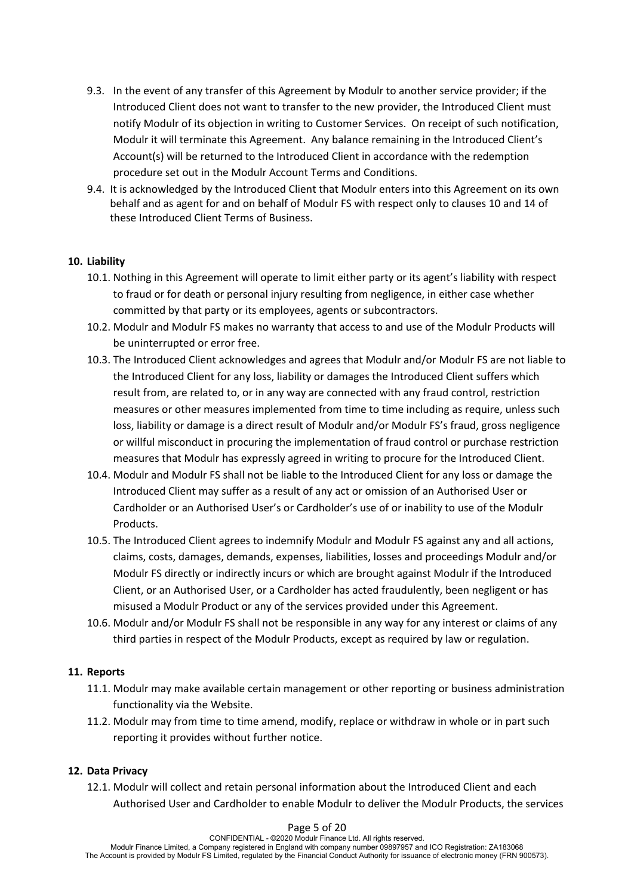- 9.3. In the event of any transfer of this Agreement by Modulr to another service provider; if the Introduced Client does not want to transfer to the new provider, the Introduced Client must notify Modulr of its objection in writing to Customer Services. On receipt of such notification, Modulr it will terminate this Agreement. Any balance remaining in the Introduced Client's Account(s) will be returned to the Introduced Client in accordance with the redemption procedure set out in the Modulr Account Terms and Conditions.
- 9.4. It is acknowledged by the Introduced Client that Modulr enters into this Agreement on its own behalf and as agent for and on behalf of Modulr FS with respect only to clauses 10 and 14 of these Introduced Client Terms of Business.

## **10. Liability**

- 10.1. Nothing in this Agreement will operate to limit either party or its agent's liability with respect to fraud or for death or personal injury resulting from negligence, in either case whether committed by that party or its employees, agents or subcontractors.
- 10.2. Modulr and Modulr FS makes no warranty that access to and use of the Modulr Products will be uninterrupted or error free.
- 10.3. The Introduced Client acknowledges and agrees that Modulr and/or Modulr FS are not liable to the Introduced Client for any loss, liability or damages the Introduced Client suffers which result from, are related to, or in any way are connected with any fraud control, restriction measures or other measures implemented from time to time including as require, unless such loss, liability or damage is a direct result of Modulr and/or Modulr FS's fraud, gross negligence or willful misconduct in procuring the implementation of fraud control or purchase restriction measures that Modulr has expressly agreed in writing to procure for the Introduced Client.
- 10.4. Modulr and Modulr FS shall not be liable to the Introduced Client for any loss or damage the Introduced Client may suffer as a result of any act or omission of an Authorised User or Cardholder or an Authorised User's or Cardholder's use of or inability to use of the Modulr Products.
- 10.5. The Introduced Client agrees to indemnify Modulr and Modulr FS against any and all actions, claims, costs, damages, demands, expenses, liabilities, losses and proceedings Modulr and/or Modulr FS directly or indirectly incurs or which are brought against Modulr if the Introduced Client, or an Authorised User, or a Cardholder has acted fraudulently, been negligent or has misused a Modulr Product or any of the services provided under this Agreement.
- 10.6. Modulr and/or Modulr FS shall not be responsible in any way for any interest or claims of any third parties in respect of the Modulr Products, except as required by law or regulation.

## **11. Reports**

- 11.1. Modulr may make available certain management or other reporting or business administration functionality via the Website.
- 11.2. Modulr may from time to time amend, modify, replace or withdraw in whole or in part such reporting it provides without further notice.

## **12. Data Privacy**

12.1. Modulr will collect and retain personal information about the Introduced Client and each Authorised User and Cardholder to enable Modulr to deliver the Modulr Products, the services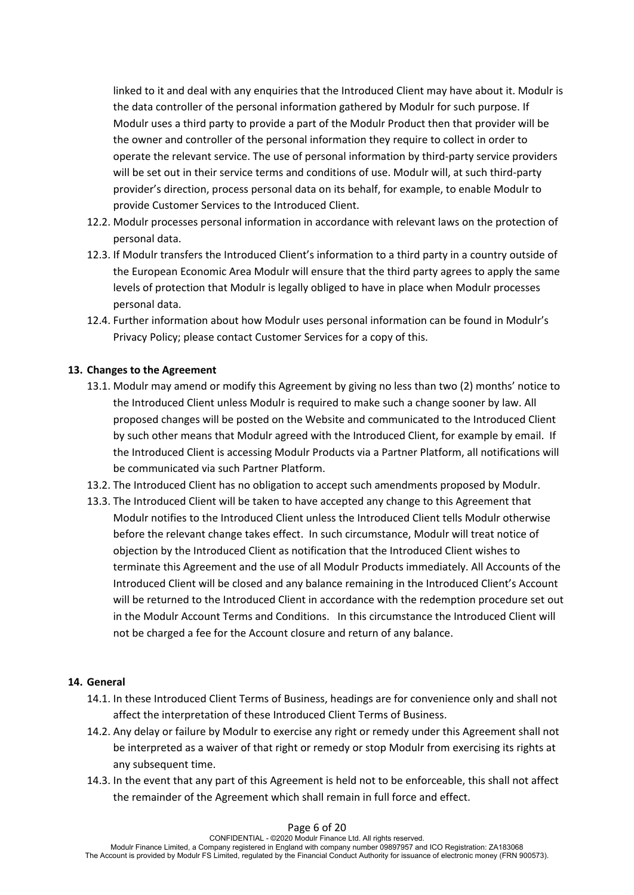linked to it and deal with any enquiries that the Introduced Client may have about it. Modulr is the data controller of the personal information gathered by Modulr for such purpose. If Modulr uses a third party to provide a part of the Modulr Product then that provider will be the owner and controller of the personal information they require to collect in order to operate the relevant service. The use of personal information by third-party service providers will be set out in their service terms and conditions of use. Modulr will, at such third-party provider's direction, process personal data on its behalf, for example, to enable Modulr to provide Customer Services to the Introduced Client.

- 12.2. Modulr processes personal information in accordance with relevant laws on the protection of personal data.
- 12.3. If Modulr transfers the Introduced Client's information to a third party in a country outside of the European Economic Area Modulr will ensure that the third party agrees to apply the same levels of protection that Modulr is legally obliged to have in place when Modulr processes personal data.
- 12.4. Further information about how Modulr uses personal information can be found in Modulr's Privacy Policy; please contact Customer Services for a copy of this.

# **13. Changes to the Agreement**

- 13.1. Modulr may amend or modify this Agreement by giving no less than two (2) months' notice to the Introduced Client unless Modulr is required to make such a change sooner by law. All proposed changes will be posted on the Website and communicated to the Introduced Client by such other means that Modulr agreed with the Introduced Client, for example by email. If the Introduced Client is accessing Modulr Products via a Partner Platform, all notifications will be communicated via such Partner Platform.
- 13.2. The Introduced Client has no obligation to accept such amendments proposed by Modulr.
- 13.3. The Introduced Client will be taken to have accepted any change to this Agreement that Modulr notifies to the Introduced Client unless the Introduced Client tells Modulr otherwise before the relevant change takes effect. In such circumstance, Modulr will treat notice of objection by the Introduced Client as notification that the Introduced Client wishes to terminate this Agreement and the use of all Modulr Products immediately. All Accounts of the Introduced Client will be closed and any balance remaining in the Introduced Client's Account will be returned to the Introduced Client in accordance with the redemption procedure set out in the Modulr Account Terms and Conditions. In this circumstance the Introduced Client will not be charged a fee for the Account closure and return of any balance.

## **14. General**

- 14.1. In these Introduced Client Terms of Business, headings are for convenience only and shall not affect the interpretation of these Introduced Client Terms of Business.
- 14.2. Any delay or failure by Modulr to exercise any right or remedy under this Agreement shall not be interpreted as a waiver of that right or remedy or stop Modulr from exercising its rights at any subsequent time.
- 14.3. In the event that any part of this Agreement is held not to be enforceable, this shall not affect the remainder of the Agreement which shall remain in full force and effect.

#### Page 6 of 20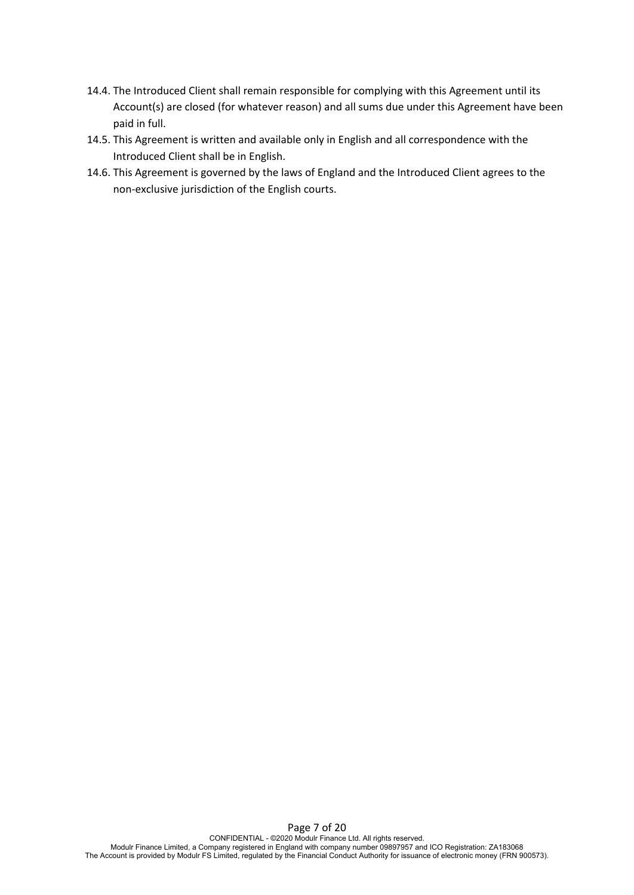- 14.4. The Introduced Client shall remain responsible for complying with this Agreement until its Account(s) are closed (for whatever reason) and all sums due under this Agreement have been paid in full.
- 14.5. This Agreement is written and available only in English and all correspondence with the Introduced Client shall be in English.
- 14.6. This Agreement is governed by the laws of England and the Introduced Client agrees to the non-exclusive jurisdiction of the English courts.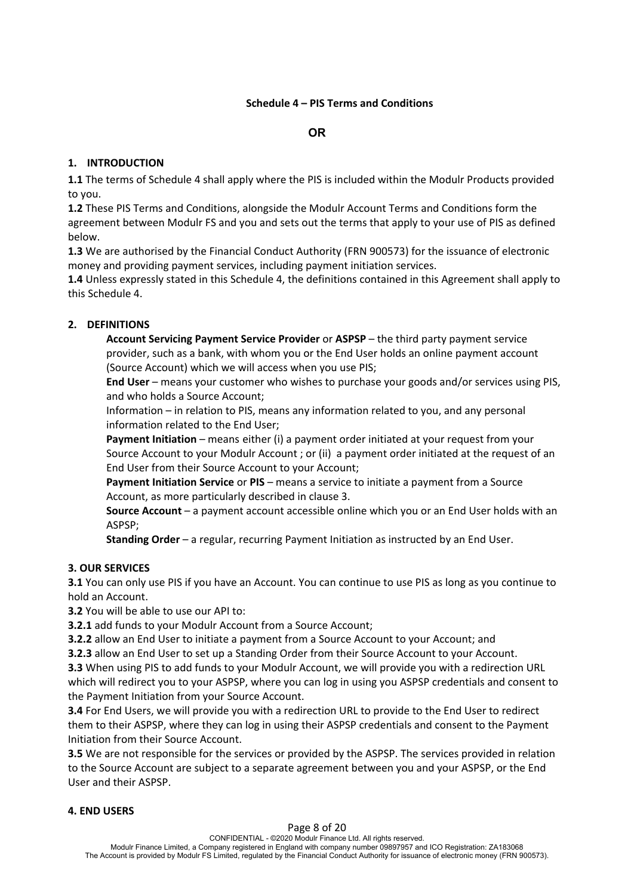# **Schedule 4 – PIS Terms and Conditions**

# **OR**

# **1. INTRODUCTION**

**1.1** The terms of Schedule 4 shall apply where the PIS is included within the Modulr Products provided to you.

**1.2** These PIS Terms and Conditions, alongside the Modulr Account Terms and Conditions form the agreement between Modulr FS and you and sets out the terms that apply to your use of PIS as defined below.

**1.3** We are authorised by the Financial Conduct Authority (FRN 900573) for the issuance of electronic money and providing payment services, including payment initiation services.

**1.4** Unless expressly stated in this Schedule 4, the definitions contained in this Agreement shall apply to this Schedule 4.

# **2. DEFINITIONS**

**Account Servicing Payment Service Provider** or **ASPSP** – the third party payment service provider, such as a bank, with whom you or the End User holds an online payment account (Source Account) which we will access when you use PIS;

**End User** – means your customer who wishes to purchase your goods and/or services using PIS, and who holds a Source Account;

Information – in relation to PIS, means any information related to you, and any personal information related to the End User;

**Payment Initiation** – means either (i) a payment order initiated at your request from your Source Account to your Modulr Account ; or (ii) a payment order initiated at the request of an End User from their Source Account to your Account;

**Payment Initiation Service** or PIS – means a service to initiate a payment from a Source Account, as more particularly described in clause 3.

**Source Account** – a payment account accessible online which you or an End User holds with an ASPSP;

**Standing Order** – a regular, recurring Payment Initiation as instructed by an End User.

# **3. OUR SERVICES**

**3.1** You can only use PIS if you have an Account. You can continue to use PIS as long as you continue to hold an Account.

**3.2** You will be able to use our API to:

**3.2.1** add funds to your Modulr Account from a Source Account;

**3.2.2** allow an End User to initiate a payment from a Source Account to your Account; and

**3.2.3** allow an End User to set up a Standing Order from their Source Account to your Account.

**3.3** When using PIS to add funds to your Modulr Account, we will provide you with a redirection URL which will redirect you to your ASPSP, where you can log in using you ASPSP credentials and consent to the Payment Initiation from your Source Account.

**3.4** For End Users, we will provide you with a redirection URL to provide to the End User to redirect them to their ASPSP, where they can log in using their ASPSP credentials and consent to the Payment Initiation from their Source Account.

**3.5** We are not responsible for the services or provided by the ASPSP. The services provided in relation to the Source Account are subject to a separate agreement between you and your ASPSP, or the End User and their ASPSP.

# **4. END USERS**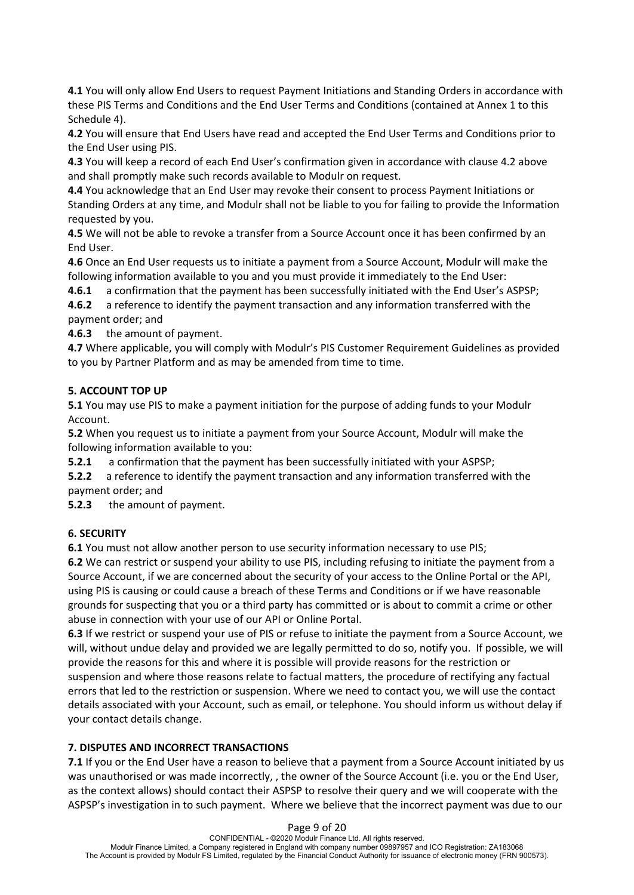**4.1** You will only allow End Users to request Payment Initiations and Standing Orders in accordance with these PIS Terms and Conditions and the End User Terms and Conditions (contained at Annex 1 to this Schedule 4).

**4.2** You will ensure that End Users have read and accepted the End User Terms and Conditions prior to the End User using PIS.

**4.3** You will keep a record of each End User's confirmation given in accordance with clause 4.2 above and shall promptly make such records available to Modulr on request.

**4.4** You acknowledge that an End User may revoke their consent to process Payment Initiations or Standing Orders at any time, and Modulr shall not be liable to you for failing to provide the Information requested by you.

**4.5** We will not be able to revoke a transfer from a Source Account once it has been confirmed by an End User.

**4.6** Once an End User requests us to initiate a payment from a Source Account, Modulr will make the following information available to you and you must provide it immediately to the End User:

**4.6.1** a confirmation that the payment has been successfully initiated with the End User's ASPSP;

**4.6.2** a reference to identify the payment transaction and any information transferred with the payment order; and

**4.6.3** the amount of payment.

**4.7** Where applicable, you will comply with Modulr's PIS Customer Requirement Guidelines as provided to you by Partner Platform and as may be amended from time to time.

# **5. ACCOUNT TOP UP**

**5.1** You may use PIS to make a payment initiation for the purpose of adding funds to your Modulr Account.

**5.2** When you request us to initiate a payment from your Source Account, Modulr will make the following information available to you:

**5.2.1** a confirmation that the payment has been successfully initiated with your ASPSP;

**5.2.2** a reference to identify the payment transaction and any information transferred with the payment order; and

**5.2.3** the amount of payment.

# **6. SECURITY**

**6.1** You must not allow another person to use security information necessary to use PIS;

**6.2** We can restrict or suspend your ability to use PIS, including refusing to initiate the payment from a Source Account, if we are concerned about the security of your access to the Online Portal or the API, using PIS is causing or could cause a breach of these Terms and Conditions or if we have reasonable grounds for suspecting that you or a third party has committed or is about to commit a crime or other abuse in connection with your use of our API or Online Portal.

**6.3** If we restrict or suspend your use of PIS or refuse to initiate the payment from a Source Account, we will, without undue delay and provided we are legally permitted to do so, notify you. If possible, we will provide the reasons for this and where it is possible will provide reasons for the restriction or suspension and where those reasons relate to factual matters, the procedure of rectifying any factual errors that led to the restriction or suspension. Where we need to contact you, we will use the contact details associated with your Account, such as email, or telephone. You should inform us without delay if your contact details change.

# **7. DISPUTES AND INCORRECT TRANSACTIONS**

**7.1** If you or the End User have a reason to believe that a payment from a Source Account initiated by us was unauthorised or was made incorrectly, , the owner of the Source Account (i.e. you or the End User, as the context allows) should contact their ASPSP to resolve their query and we will cooperate with the ASPSP's investigation in to such payment. Where we believe that the incorrect payment was due to our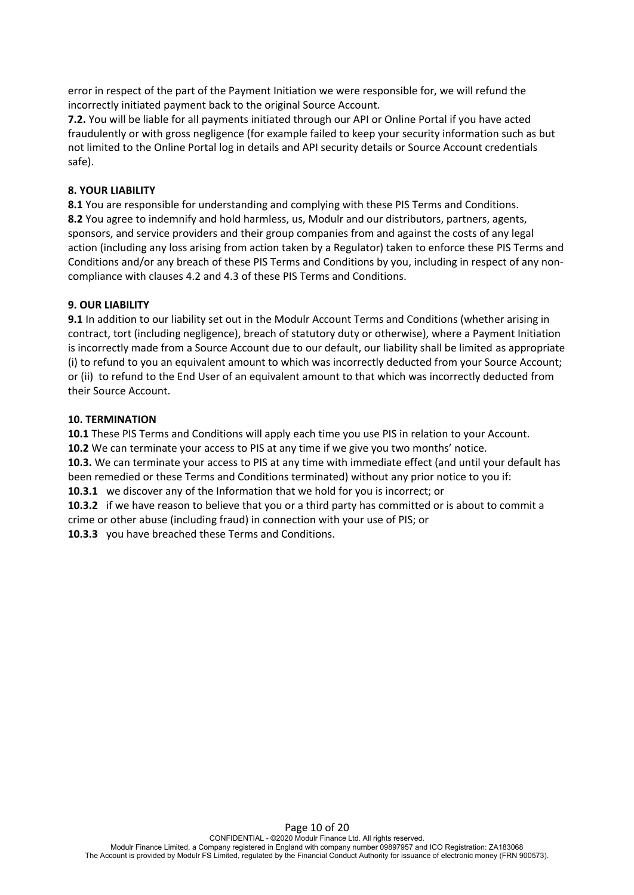error in respect of the part of the Payment Initiation we were responsible for, we will refund the incorrectly initiated payment back to the original Source Account.

**7.2.** You will be liable for all payments initiated through our API or Online Portal if you have acted fraudulently or with gross negligence (for example failed to keep your security information such as but not limited to the Online Portal log in details and API security details or Source Account credentials safe).

## **8. YOUR LIABILITY**

**8.1** You are responsible for understanding and complying with these PIS Terms and Conditions. **8.2** You agree to indemnify and hold harmless, us, Modulr and our distributors, partners, agents, sponsors, and service providers and their group companies from and against the costs of any legal action (including any loss arising from action taken by a Regulator) taken to enforce these PIS Terms and Conditions and/or any breach of these PIS Terms and Conditions by you, including in respect of any noncompliance with clauses 4.2 and 4.3 of these PIS Terms and Conditions.

## **9. OUR LIABILITY**

**9.1** In addition to our liability set out in the Modulr Account Terms and Conditions (whether arising in contract, tort (including negligence), breach of statutory duty or otherwise), where a Payment Initiation is incorrectly made from a Source Account due to our default, our liability shall be limited as appropriate (i) to refund to you an equivalent amount to which was incorrectly deducted from your Source Account; or (ii) to refund to the End User of an equivalent amount to that which was incorrectly deducted from their Source Account.

## **10. TERMINATION**

**10.1** These PIS Terms and Conditions will apply each time you use PIS in relation to your Account. **10.2** We can terminate your access to PIS at any time if we give you two months' notice.

**10.3.** We can terminate your access to PIS at any time with immediate effect (and until your default has been remedied or these Terms and Conditions terminated) without any prior notice to you if:

**10.3.1** we discover any of the Information that we hold for you is incorrect; or

**10.3.2** if we have reason to believe that you or a third party has committed or is about to commit a crime or other abuse (including fraud) in connection with your use of PIS; or

**10.3.3** you have breached these Terms and Conditions.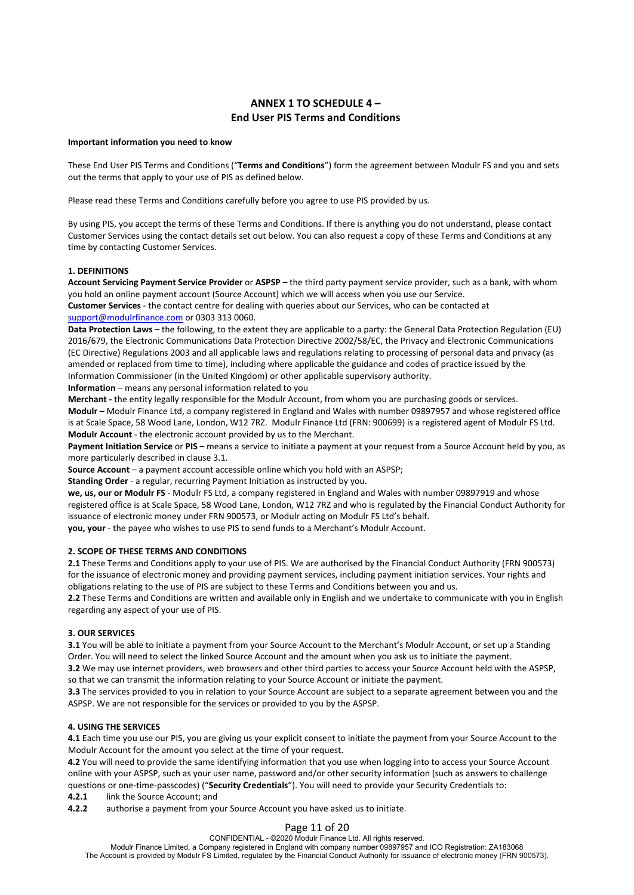## **ANNEX 1 TO SCHEDULE 4 – End User PIS Terms and Conditions**

#### **Important information you need to know**

These End User PIS Terms and Conditions ("**Terms and Conditions**") form the agreement between Modulr FS and you and sets out the terms that apply to your use of PIS as defined below.

Please read these Terms and Conditions carefully before you agree to use PIS provided by us.

By using PIS, you accept the terms of these Terms and Conditions. If there is anything you do not understand, please contact Customer Services using the contact details set out below. You can also request a copy of these Terms and Conditions at any time by contacting Customer Services.

### **1. DEFINITIONS**

**Account Servicing Payment Service Provider** or **ASPSP** – the third party payment service provider, such as a bank, with whom you hold an online payment account (Source Account) which we will access when you use our Service. **Customer Services** - the contact centre for dealing with queries about our Services, who can be contacted at

support@modulrfinance.com or 0303 313 0060.

**Data Protection Laws** – the following, to the extent they are applicable to a party: the General Data Protection Regulation (EU) 2016/679, the Electronic Communications Data Protection Directive 2002/58/EC, the Privacy and Electronic Communications (EC Directive) Regulations 2003 and all applicable laws and regulations relating to processing of personal data and privacy (as amended or replaced from time to time), including where applicable the guidance and codes of practice issued by the Information Commissioner (in the United Kingdom) or other applicable supervisory authority.

**Information** – means any personal information related to you

**Merchant -** the entity legally responsible for the Modulr Account, from whom you are purchasing goods or services. **Modulr –** Modulr Finance Ltd, a company registered in England and Wales with number 09897957 and whose registered office is at Scale Space, 58 Wood Lane, London, W12 7RZ. Modulr Finance Ltd (FRN: 900699) is a registered agent of Modulr FS Ltd. **Modulr Account** - the electronic account provided by us to the Merchant.

Payment Initiation Service or PIS - means a service to initiate a payment at your request from a Source Account held by you, as more particularly described in clause 3.1.

**Source Account** – a payment account accessible online which you hold with an ASPSP;

**Standing Order** - a regular, recurring Payment Initiation as instructed by you.

**we, us, our or Modulr FS** - Modulr FS Ltd, a company registered in England and Wales with number 09897919 and whose registered office is at Scale Space, 58 Wood Lane, London, W12 7RZ and who is regulated by the Financial Conduct Authority for issuance of electronic money under FRN 900573, or Modulr acting on Modulr FS Ltd's behalf.

**you, your** - the payee who wishes to use PIS to send funds to a Merchant's Modulr Account.

### **2. SCOPE OF THESE TERMS AND CONDITIONS**

**2.1** These Terms and Conditions apply to your use of PIS. We are authorised by the Financial Conduct Authority (FRN 900573) for the issuance of electronic money and providing payment services, including payment initiation services. Your rights and obligations relating to the use of PIS are subject to these Terms and Conditions between you and us.

**2.2** These Terms and Conditions are written and available only in English and we undertake to communicate with you in English regarding any aspect of your use of PIS.

### **3. OUR SERVICES**

**3.1** You will be able to initiate a payment from your Source Account to the Merchant's Modulr Account, or set up a Standing Order. You will need to select the linked Source Account and the amount when you ask us to initiate the payment.

**3.2** We may use internet providers, web browsers and other third parties to access your Source Account held with the ASPSP, so that we can transmit the information relating to your Source Account or initiate the payment.

**3.3** The services provided to you in relation to your Source Account are subject to a separate agreement between you and the ASPSP. We are not responsible for the services or provided to you by the ASPSP.

### **4. USING THE SERVICES**

**4.1** Each time you use our PIS, you are giving us your explicit consent to initiate the payment from your Source Account to the Modulr Account for the amount you select at the time of your request.

**4.2** You will need to provide the same identifying information that you use when logging into to access your Source Account online with your ASPSP, such as your user name, password and/or other security information (such as answers to challenge questions or one-time-passcodes) ("**Security Credentials**"). You will need to provide your Security Credentials to:

**4.2.1** link the Source Account; and

**4.2.2** authorise a payment from your Source Account you have asked us to initiate.

## Page 11 of 20

CONFIDENTIAL - ©2020 Modulr Finance Ltd. All rights reserved.

Modulr Finance Limited, a Company registered in England with company number 09897957 and ICO Registration: ZA183068 The Account is provided by Modulr FS Limited, regulated by the Financial Conduct Authority for issuance of electronic money (FRN 900573).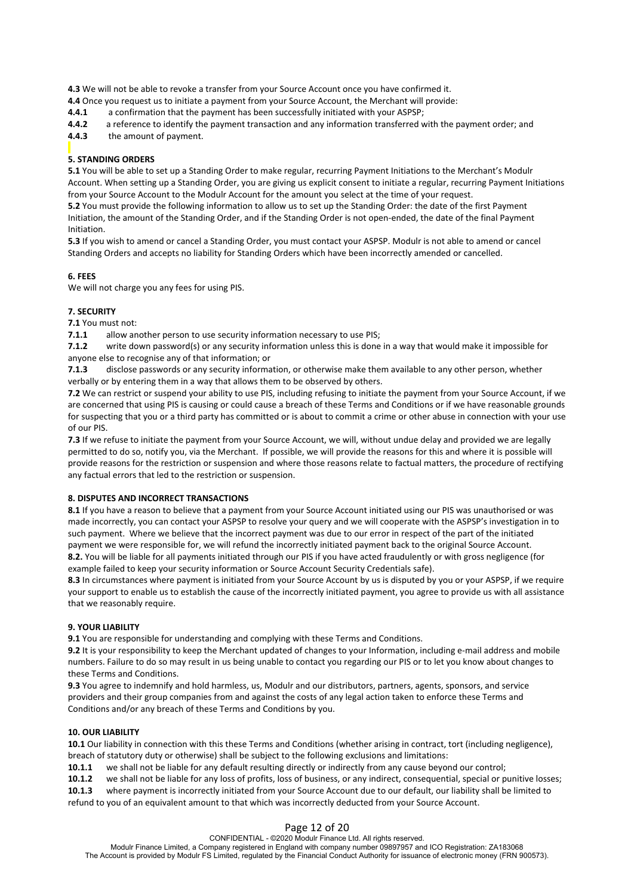**4.3** We will not be able to revoke a transfer from your Source Account once you have confirmed it.

**4.4** Once you request us to initiate a payment from your Source Account, the Merchant will provide:

**4.4.1** a confirmation that the payment has been successfully initiated with your ASPSP;

**4.4.2** a reference to identify the payment transaction and any information transferred with the payment order; and

**4.4.3** the amount of payment.

### **5. STANDING ORDERS**

**5.1** You will be able to set up a Standing Order to make regular, recurring Payment Initiations to the Merchant's Modulr Account. When setting up a Standing Order, you are giving us explicit consent to initiate a regular, recurring Payment Initiations from your Source Account to the Modulr Account for the amount you select at the time of your request.

**5.2** You must provide the following information to allow us to set up the Standing Order: the date of the first Payment Initiation, the amount of the Standing Order, and if the Standing Order is not open-ended, the date of the final Payment Initiation.

**5.3** If you wish to amend or cancel a Standing Order, you must contact your ASPSP. Modulr is not able to amend or cancel Standing Orders and accepts no liability for Standing Orders which have been incorrectly amended or cancelled.

### **6. FEES**

We will not charge you any fees for using PIS.

### **7. SECURITY**

**7.1** You must not:

**7.1.1** allow another person to use security information necessary to use PIS;

**7.1.2** write down password(s) or any security information unless this is done in a way that would make it impossible for anyone else to recognise any of that information; or

**7.1.3** disclose passwords or any security information, or otherwise make them available to any other person, whether verbally or by entering them in a way that allows them to be observed by others.

**7.2** We can restrict or suspend your ability to use PIS, including refusing to initiate the payment from your Source Account, if we are concerned that using PIS is causing or could cause a breach of these Terms and Conditions or if we have reasonable grounds for suspecting that you or a third party has committed or is about to commit a crime or other abuse in connection with your use of our PIS.

**7.3** If we refuse to initiate the payment from your Source Account, we will, without undue delay and provided we are legally permitted to do so, notify you, via the Merchant. If possible, we will provide the reasons for this and where it is possible will provide reasons for the restriction or suspension and where those reasons relate to factual matters, the procedure of rectifying any factual errors that led to the restriction or suspension.

### **8. DISPUTES AND INCORRECT TRANSACTIONS**

**8.1** If you have a reason to believe that a payment from your Source Account initiated using our PIS was unauthorised or was made incorrectly, you can contact your ASPSP to resolve your query and we will cooperate with the ASPSP's investigation in to such payment. Where we believe that the incorrect payment was due to our error in respect of the part of the initiated payment we were responsible for, we will refund the incorrectly initiated payment back to the original Source Account. **8.2.** You will be liable for all payments initiated through our PIS if you have acted fraudulently or with gross negligence (for example failed to keep your security information or Source Account Security Credentials safe).

**8.3** In circumstances where payment is initiated from your Source Account by us is disputed by you or your ASPSP, if we require your support to enable us to establish the cause of the incorrectly initiated payment, you agree to provide us with all assistance that we reasonably require.

### **9. YOUR LIABILITY**

**9.1** You are responsible for understanding and complying with these Terms and Conditions.

**9.2** It is your responsibility to keep the Merchant updated of changes to your Information, including e-mail address and mobile numbers. Failure to do so may result in us being unable to contact you regarding our PIS or to let you know about changes to these Terms and Conditions.

**9.3** You agree to indemnify and hold harmless, us, Modulr and our distributors, partners, agents, sponsors, and service providers and their group companies from and against the costs of any legal action taken to enforce these Terms and Conditions and/or any breach of these Terms and Conditions by you.

### **10. OUR LIABILITY**

**10.1** Our liability in connection with this these Terms and Conditions (whether arising in contract, tort (including negligence), breach of statutory duty or otherwise) shall be subject to the following exclusions and limitations:

**10.1.1** we shall not be liable for any default resulting directly or indirectly from any cause beyond our control;

**10.1.2** we shall not be liable for any loss of profits, loss of business, or any indirect, consequential, special or punitive losses;

**10.1.3** where payment is incorrectly initiated from your Source Account due to our default, our liability shall be limited to refund to you of an equivalent amount to that which was incorrectly deducted from your Source Account.

## Page 12 of 20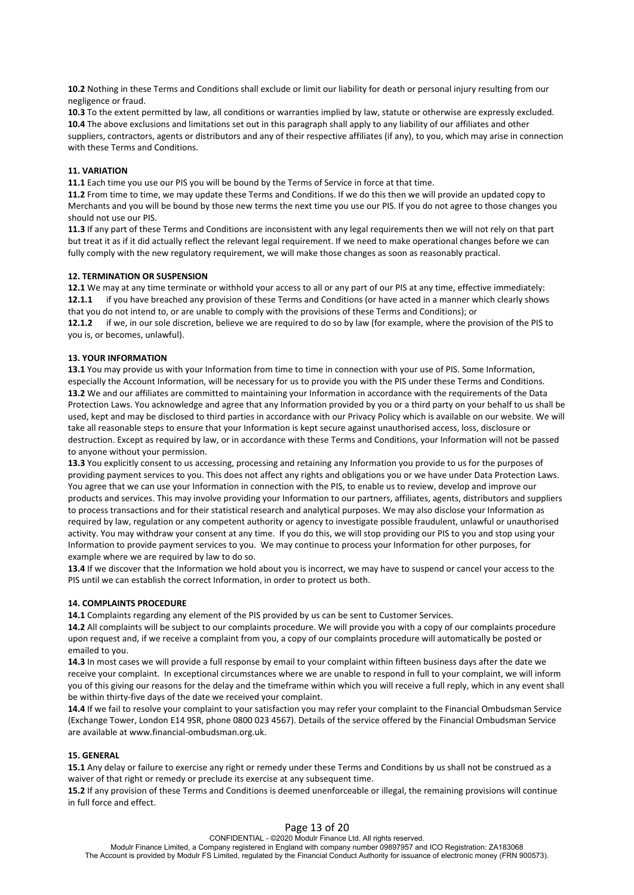**10.2** Nothing in these Terms and Conditions shall exclude or limit our liability for death or personal injury resulting from our negligence or fraud.

**10.3** To the extent permitted by law, all conditions or warranties implied by law, statute or otherwise are expressly excluded. **10.4** The above exclusions and limitations set out in this paragraph shall apply to any liability of our affiliates and other suppliers, contractors, agents or distributors and any of their respective affiliates (if any), to you, which may arise in connection with these Terms and Conditions.

#### **11. VARIATION**

**11.1** Each time you use our PIS you will be bound by the Terms of Service in force at that time.

**11.2** From time to time, we may update these Terms and Conditions. If we do this then we will provide an updated copy to Merchants and you will be bound by those new terms the next time you use our PIS. If you do not agree to those changes you should not use our PIS.

**11.3** If any part of these Terms and Conditions are inconsistent with any legal requirements then we will not rely on that part but treat it as if it did actually reflect the relevant legal requirement. If we need to make operational changes before we can fully comply with the new regulatory requirement, we will make those changes as soon as reasonably practical.

#### **12. TERMINATION OR SUSPENSION**

**12.1** We may at any time terminate or withhold your access to all or any part of our PIS at any time, effective immediately: **12.1.1** if you have breached any provision of these Terms and Conditions (or have acted in a manner which clearly shows that you do not intend to, or are unable to comply with the provisions of these Terms and Conditions); or

**12.1.2** if we, in our sole discretion, believe we are required to do so by law (for example, where the provision of the PIS to you is, or becomes, unlawful).

#### **13. YOUR INFORMATION**

**13.1** You may provide us with your Information from time to time in connection with your use of PIS. Some Information, especially the Account Information, will be necessary for us to provide you with the PIS under these Terms and Conditions. **13.2** We and our affiliates are committed to maintaining your Information in accordance with the requirements of the Data Protection Laws. You acknowledge and agree that any Information provided by you or a third party on your behalf to us shall be used, kept and may be disclosed to third parties in accordance with our Privacy Policy which is available on our website. We will take all reasonable steps to ensure that your Information is kept secure against unauthorised access, loss, disclosure or destruction. Except as required by law, or in accordance with these Terms and Conditions, your Information will not be passed to anyone without your permission.

**13.3** You explicitly consent to us accessing, processing and retaining any Information you provide to us for the purposes of providing payment services to you. This does not affect any rights and obligations you or we have under Data Protection Laws. You agree that we can use your Information in connection with the PIS, to enable us to review, develop and improve our products and services. This may involve providing your Information to our partners, affiliates, agents, distributors and suppliers to process transactions and for their statistical research and analytical purposes. We may also disclose your Information as required by law, regulation or any competent authority or agency to investigate possible fraudulent, unlawful or unauthorised activity. You may withdraw your consent at any time. If you do this, we will stop providing our PIS to you and stop using your Information to provide payment services to you. We may continue to process your Information for other purposes, for example where we are required by law to do so.

**13.4** If we discover that the Information we hold about you is incorrect, we may have to suspend or cancel your access to the PIS until we can establish the correct Information, in order to protect us both.

### **14. COMPLAINTS PROCEDURE**

**14.1** Complaints regarding any element of the PIS provided by us can be sent to Customer Services.

**14.2** All complaints will be subject to our complaints procedure. We will provide you with a copy of our complaints procedure upon request and, if we receive a complaint from you, a copy of our complaints procedure will automatically be posted or emailed to you.

**14.3** In most cases we will provide a full response by email to your complaint within fifteen business days after the date we receive your complaint. In exceptional circumstances where we are unable to respond in full to your complaint, we will inform you of this giving our reasons for the delay and the timeframe within which you will receive a full reply, which in any event shall be within thirty-five days of the date we received your complaint.

**14.4** If we fail to resolve your complaint to your satisfaction you may refer your complaint to the Financial Ombudsman Service (Exchange Tower, London E14 9SR, phone 0800 023 4567). Details of the service offered by the Financial Ombudsman Service are available at www.financial-ombudsman.org.uk.

#### **15. GENERAL**

**15.1** Any delay or failure to exercise any right or remedy under these Terms and Conditions by us shall not be construed as a waiver of that right or remedy or preclude its exercise at any subsequent time.

**15.2** If any provision of these Terms and Conditions is deemed unenforceable or illegal, the remaining provisions will continue in full force and effect.

### Page 13 of 20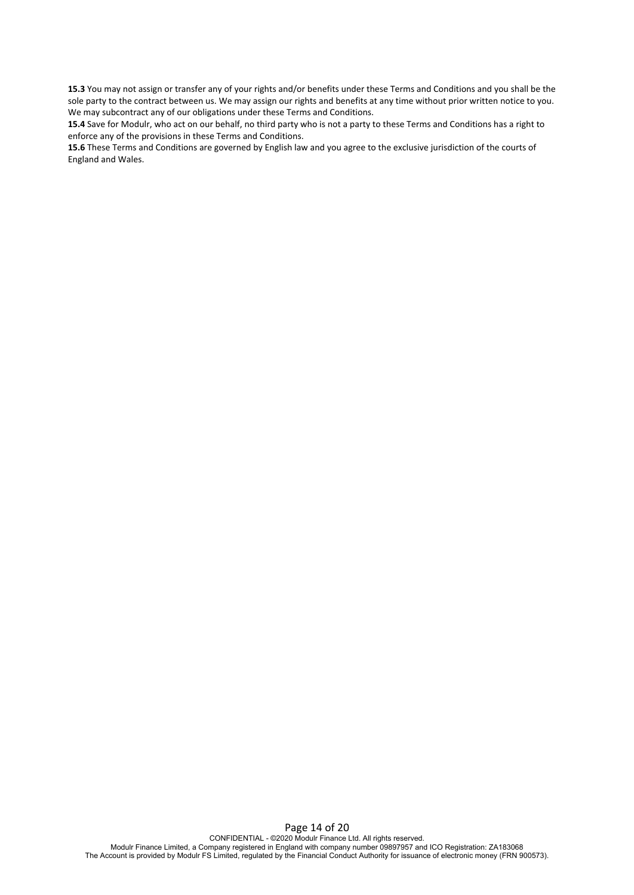**15.3** You may not assign or transfer any of your rights and/or benefits under these Terms and Conditions and you shall be the sole party to the contract between us. We may assign our rights and benefits at any time without prior written notice to you. We may subcontract any of our obligations under these Terms and Conditions.

**15.4** Save for Modulr, who act on our behalf, no third party who is not a party to these Terms and Conditions has a right to enforce any of the provisions in these Terms and Conditions.

**15.6** These Terms and Conditions are governed by English law and you agree to the exclusive jurisdiction of the courts of England and Wales.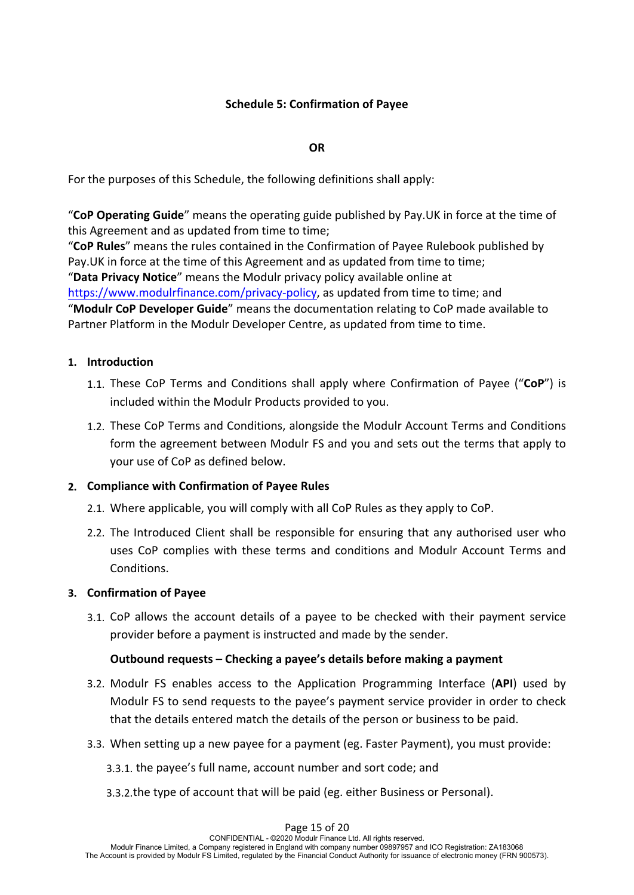# **Schedule 5: Confirmation of Payee**

# **OR**

For the purposes of this Schedule, the following definitions shall apply:

"**CoP Operating Guide**" means the operating guide published by Pay.UK in force at the time of this Agreement and as updated from time to time;

"**CoP Rules**" means the rules contained in the Confirmation of Payee Rulebook published by Pay.UK in force at the time of this Agreement and as updated from time to time; "**Data Privacy Notice**" means the Modulr privacy policy available online at https://www.modulrfinance.com/privacy-policy, as updated from time to time; and

"**Modulr CoP Developer Guide**" means the documentation relating to CoP made available to Partner Platform in the Modulr Developer Centre, as updated from time to time.

# **1. Introduction**

- 1.1. These CoP Terms and Conditions shall apply where Confirmation of Payee ("**CoP**") is included within the Modulr Products provided to you.
- 1.2. These CoP Terms and Conditions, alongside the Modulr Account Terms and Conditions form the agreement between Modulr FS and you and sets out the terms that apply to your use of CoP as defined below.

# **2. Compliance with Confirmation of Payee Rules**

- 2.1. Where applicable, you will comply with all CoP Rules as they apply to CoP.
- 2.2. The Introduced Client shall be responsible for ensuring that any authorised user who uses CoP complies with these terms and conditions and Modulr Account Terms and Conditions.

# **3. Confirmation of Payee**

3.1. CoP allows the account details of a payee to be checked with their payment service provider before a payment is instructed and made by the sender.

# **Outbound requests – Checking a payee's details before making a payment**

- 3.2. Modulr FS enables access to the Application Programming Interface (**API**) used by Modulr FS to send requests to the payee's payment service provider in order to check that the details entered match the details of the person or business to be paid.
- 3.3. When setting up a new payee for a payment (eg. Faster Payment), you must provide:
	- 3.3.1. the payee's full name, account number and sort code; and
	- 3.3.2.the type of account that will be paid (eg. either Business or Personal).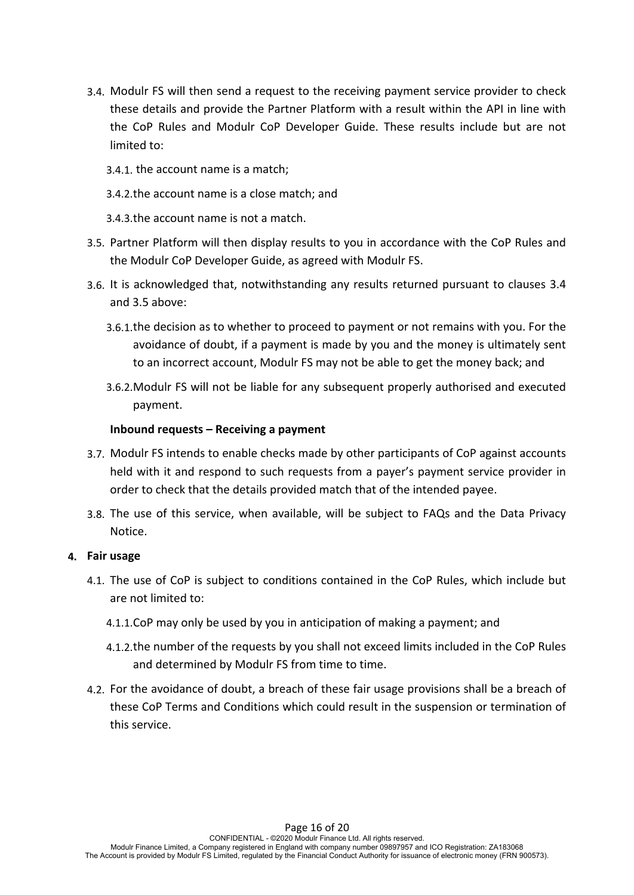- 3.4. Modulr FS will then send a request to the receiving payment service provider to check these details and provide the Partner Platform with a result within the API in line with the CoP Rules and Modulr CoP Developer Guide. These results include but are not limited to:
	- 3.4.1. the account name is a match;
	- 3.4.2.the account name is a close match; and
	- 3.4.3.the account name is not a match.
- 3.5. Partner Platform will then display results to you in accordance with the CoP Rules and the Modulr CoP Developer Guide, as agreed with Modulr FS.
- 3.6. It is acknowledged that, notwithstanding any results returned pursuant to clauses 3.4 and 3.5 above:
	- 3.6.1.the decision as to whether to proceed to payment or not remains with you. For the avoidance of doubt, if a payment is made by you and the money is ultimately sent to an incorrect account, Modulr FS may not be able to get the money back; and
	- 3.6.2.Modulr FS will not be liable for any subsequent properly authorised and executed payment.

# **Inbound requests – Receiving a payment**

- 3.7. Modulr FS intends to enable checks made by other participants of CoP against accounts held with it and respond to such requests from a payer's payment service provider in order to check that the details provided match that of the intended payee.
- 3.8. The use of this service, when available, will be subject to FAQs and the Data Privacy Notice.

# **4. Fair usage**

- 4.1. The use of CoP is subject to conditions contained in the CoP Rules, which include but are not limited to:
	- 4.1.1.CoP may only be used by you in anticipation of making a payment; and
	- 4.1.2.the number of the requests by you shall not exceed limits included in the CoP Rules and determined by Modulr FS from time to time.
- 4.2. For the avoidance of doubt, a breach of these fair usage provisions shall be a breach of these CoP Terms and Conditions which could result in the suspension or termination of this service.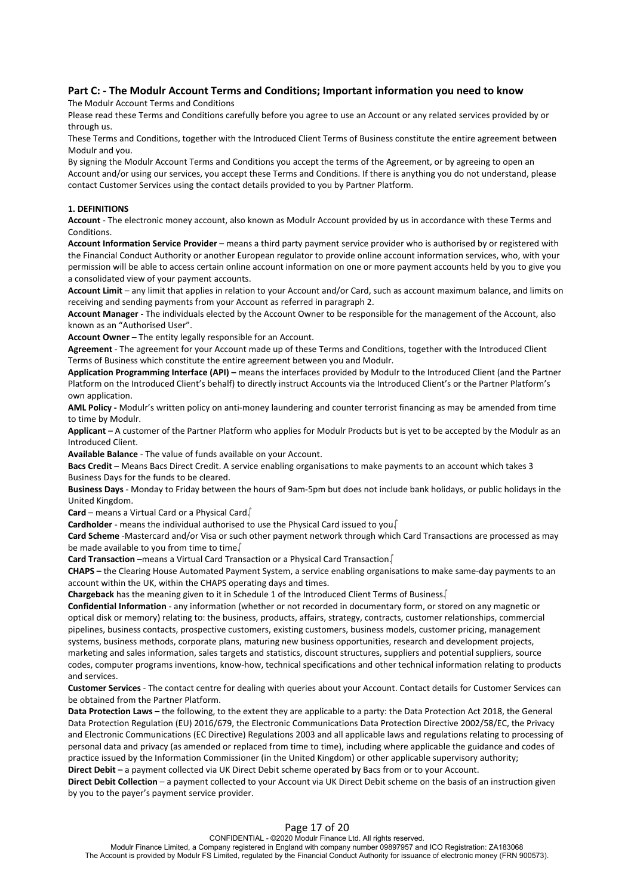## **Part C: - The Modulr Account Terms and Conditions; Important information you need to know**

The Modulr Account Terms and Conditions

Please read these Terms and Conditions carefully before you agree to use an Account or any related services provided by or through us.

These Terms and Conditions, together with the Introduced Client Terms of Business constitute the entire agreement between Modulr and you.

By signing the Modulr Account Terms and Conditions you accept the terms of the Agreement, or by agreeing to open an Account and/or using our services, you accept these Terms and Conditions. If there is anything you do not understand, please contact Customer Services using the contact details provided to you by Partner Platform.

### **1. DEFINITIONS**

**Account** - The electronic money account, also known as Modulr Account provided by us in accordance with these Terms and **Conditions** 

**Account Information Service Provider** – means a third party payment service provider who is authorised by or registered with the Financial Conduct Authority or another European regulator to provide online account information services, who, with your permission will be able to access certain online account information on one or more payment accounts held by you to give you a consolidated view of your payment accounts.

**Account Limit** – any limit that applies in relation to your Account and/or Card, such as account maximum balance, and limits on receiving and sending payments from your Account as referred in paragraph 2.

**Account Manager -** The individuals elected by the Account Owner to be responsible for the management of the Account, also known as an "Authorised User".

**Account Owner - The entity legally responsible for an Account.** 

**Agreement** - The agreement for your Account made up of these Terms and Conditions, together with the Introduced Client Terms of Business which constitute the entire agreement between you and Modulr.

**Application Programming Interface (API) –** means the interfaces provided by Modulr to the Introduced Client (and the Partner Platform on the Introduced Client's behalf) to directly instruct Accounts via the Introduced Client's or the Partner Platform's own application.

**AML Policy -** Modulr's written policy on anti-money laundering and counter terrorist financing as may be amended from time to time by Modulr.

**Applicant –** A customer of the Partner Platform who applies for Modulr Products but is yet to be accepted by the Modulr as an Introduced Client.

**Available Balance** - The value of funds available on your Account.

**Bacs Credit** – Means Bacs Direct Credit. A service enabling organisations to make payments to an account which takes 3 Business Days for the funds to be cleared.

**Business Days** - Monday to Friday between the hours of 9am-5pm but does not include bank holidays, or public holidays in the United Kingdom.

**Card** – means a Virtual Card or a Physical Card.

**Cardholder** - means the individual authorised to use the Physical Card issued to you.

**Card Scheme** -Mastercard and/or Visa or such other payment network through which Card Transactions are processed as may be made available to you from time to time.

**Card Transaction** –means a Virtual Card Transaction or a Physical Card Transaction.

**CHAPS –** the Clearing House Automated Payment System, a service enabling organisations to make same-day payments to an account within the UK, within the CHAPS operating days and times.

**Chargeback** has the meaning given to it in Schedule 1 of the Introduced Client Terms of Business.

**Confidential Information** - any information (whether or not recorded in documentary form, or stored on any magnetic or optical disk or memory) relating to: the business, products, affairs, strategy, contracts, customer relationships, commercial pipelines, business contacts, prospective customers, existing customers, business models, customer pricing, management systems, business methods, corporate plans, maturing new business opportunities, research and development projects, marketing and sales information, sales targets and statistics, discount structures, suppliers and potential suppliers, source codes, computer programs inventions, know-how, technical specifications and other technical information relating to products and services.

**Customer Services** - The contact centre for dealing with queries about your Account. Contact details for Customer Services can be obtained from the Partner Platform.

**Data Protection Laws** – the following, to the extent they are applicable to a party: the Data Protection Act 2018, the General Data Protection Regulation (EU) 2016/679, the Electronic Communications Data Protection Directive 2002/58/EC, the Privacy and Electronic Communications (EC Directive) Regulations 2003 and all applicable laws and regulations relating to processing of personal data and privacy (as amended or replaced from time to time), including where applicable the guidance and codes of practice issued by the Information Commissioner (in the United Kingdom) or other applicable supervisory authority;

**Direct Debit –** a payment collected via UK Direct Debit scheme operated by Bacs from or to your Account.

**Direct Debit Collection** – a payment collected to your Account via UK Direct Debit scheme on the basis of an instruction given by you to the payer's payment service provider.

## Page 17 of 20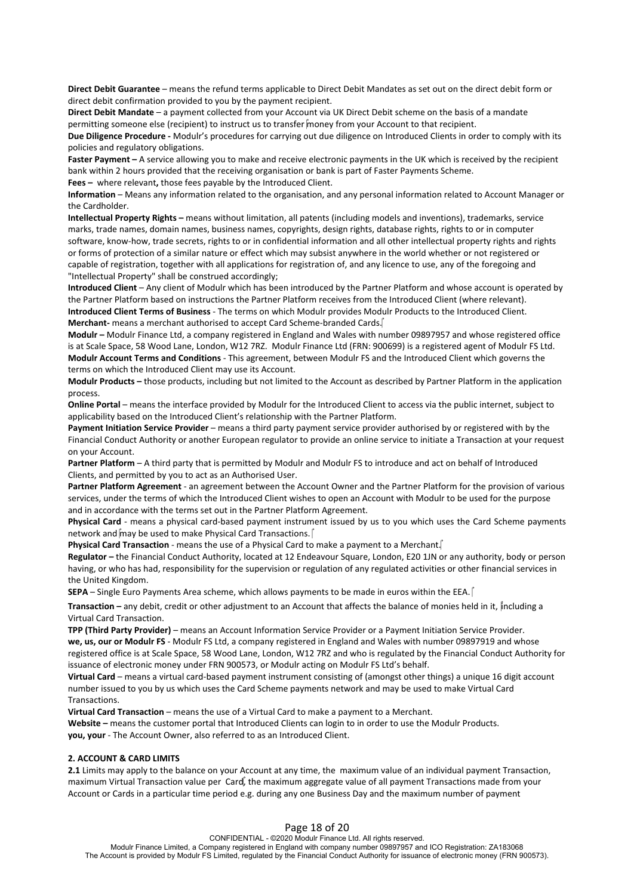**Direct Debit Guarantee** – means the refund terms applicable to Direct Debit Mandates as set out on the direct debit form or direct debit confirmation provided to you by the payment recipient.

**Direct Debit Mandate** – a payment collected from your Account via UK Direct Debit scheme on the basis of a mandate permitting someone else (recipient) to instruct us to transfer money from your Account to that recipient.

**Due Diligence Procedure -** Modulr's procedures for carrying out due diligence on Introduced Clients in order to comply with its policies and regulatory obligations.

**Faster Payment –** A service allowing you to make and receive electronic payments in the UK which is received by the recipient bank within 2 hours provided that the receiving organisation or bank is part of Faster Payments Scheme.

**Fees –** where relevant**,** those fees payable by the Introduced Client.

**Information** – Means any information related to the organisation, and any personal information related to Account Manager or the Cardholder.

**Intellectual Property Rights –** means without limitation, all patents (including models and inventions), trademarks, service marks, trade names, domain names, business names, copyrights, design rights, database rights, rights to or in computer software, know-how, trade secrets, rights to or in confidential information and all other intellectual property rights and rights or forms of protection of a similar nature or effect which may subsist anywhere in the world whether or not registered or capable of registration, together with all applications for registration of, and any licence to use, any of the foregoing and "Intellectual Property" shall be construed accordingly;

**Introduced Client** – Any client of Modulr which has been introduced by the Partner Platform and whose account is operated by the Partner Platform based on instructions the Partner Platform receives from the Introduced Client (where relevant). **Introduced Client Terms of Business** - The terms on which Modulr provides Modulr Products to the Introduced Client. **Merchant-** means a merchant authorised to accept Card Scheme-branded Cards.

**Modulr –** Modulr Finance Ltd, a company registered in England and Wales with number 09897957 and whose registered office is at Scale Space, 58 Wood Lane, London, W12 7RZ. Modulr Finance Ltd (FRN: 900699) is a registered agent of Modulr FS Ltd. **Modulr Account Terms and Conditions** - This agreement, between Modulr FS and the Introduced Client which governs the terms on which the Introduced Client may use its Account.

**Modulr Products –** those products, including but not limited to the Account as described by Partner Platform in the application process.

**Online Portal** – means the interface provided by Modulr for the Introduced Client to access via the public internet, subject to applicability based on the Introduced Client's relationship with the Partner Platform.

**Payment Initiation Service Provider** – means a third party payment service provider authorised by or registered with by the Financial Conduct Authority or another European regulator to provide an online service to initiate a Transaction at your request on your Account.

**Partner Platform** – A third party that is permitted by Modulr and Modulr FS to introduce and act on behalf of Introduced Clients, and permitted by you to act as an Authorised User.

**Partner Platform Agreement** - an agreement between the Account Owner and the Partner Platform for the provision of various services, under the terms of which the Introduced Client wishes to open an Account with Modulr to be used for the purpose and in accordance with the terms set out in the Partner Platform Agreement.

**Physical Card** - means a physical card-based payment instrument issued by us to you which uses the Card Scheme payments network and  $\hat{m}$ ay be used to make Physical Card Transactions.

**Physical Card Transaction** - means the use of a Physical Card to make a payment to a Merchant.

**Regulator –** the Financial Conduct Authority, located at 12 Endeavour Square, London, E20 1JN or any authority, body or person having, or who has had, responsibility for the supervision or regulation of any regulated activities or other financial services in the United Kingdom.

**SEPA** – Single Euro Payments Area scheme, which allows payments to be made in euros within the EEA.

**Transaction –** any debit, credit or other adjustment to an Account that affects the balance of monies held in it, including a Virtual Card Transaction.

**TPP (Third Party Provider)** – means an Account Information Service Provider or a Payment Initiation Service Provider. **we, us, our or Modulr FS** - Modulr FS Ltd, a company registered in England and Wales with number 09897919 and whose registered office is at Scale Space, 58 Wood Lane, London, W12 7RZ and who is regulated by the Financial Conduct Authority for issuance of electronic money under FRN 900573, or Modulr acting on Modulr FS Ltd's behalf.

**Virtual Card** – means a virtual card-based payment instrument consisting of (amongst other things) a unique 16 digit account number issued to you by us which uses the Card Scheme payments network and may be used to make Virtual Card Transactions.

**Virtual Card Transaction** – means the use of a Virtual Card to make a payment to a Merchant.

**Website –** means the customer portal that Introduced Clients can login to in order to use the Modulr Products. **you, your** - The Account Owner, also referred to as an Introduced Client.

### **2. ACCOUNT & CARD LIMITS**

**2.1** Limits may apply to the balance on your Account at any time, the maximum value of an individual payment Transaction, maximum Virtual Transaction value per Card, the maximum aggregate value of all payment Transactions made from your Account or Cards in a particular time period e.g. during any one Business Day and the maximum number of payment

## Page 18 of 20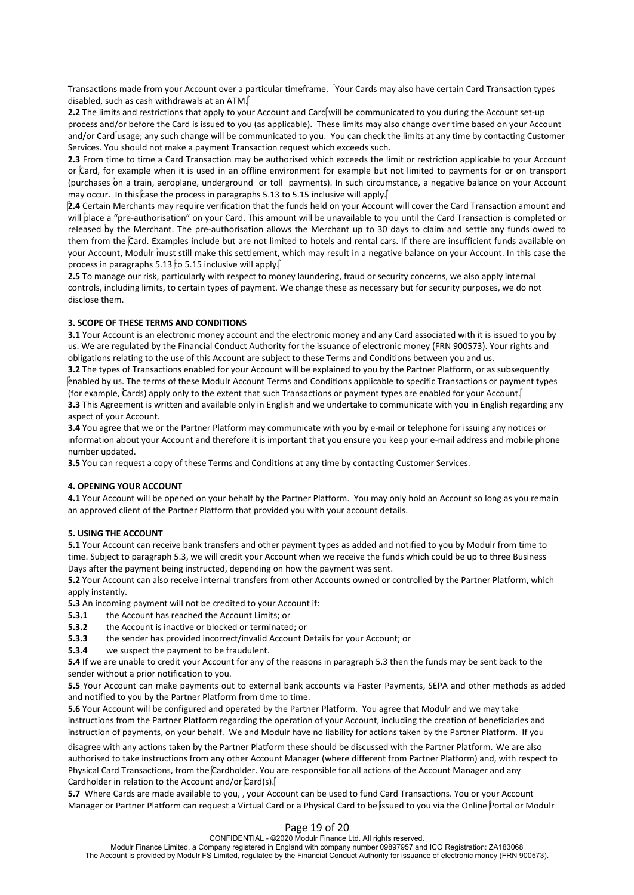Transactions made from your Account over a particular timeframe. Tyour Cards may also have certain Card Transaction types disabled, such as cash withdrawals at an ATM.

**2.2** The limits and restrictions that apply to your Account and Card will be communicated to you during the Account set-up process and/or before the Card is issued to you (as applicable). These limits may also change over time based on your Account and/or Card usage; any such change will be communicated to you. You can check the limits at any time by contacting Customer Services. You should not make a payment Transaction request which exceeds such.

2.3 From time to time a Card Transaction may be authorised which exceeds the limit or restriction applicable to your Account or  $\hat{c}$ ard, for example when it is used in an offline environment for example but not limited (purchases on a train, aeroplane, underground or toll payments). In such circumstance, a negative balance on your Account may occur. In this case the process in paragraphs 5.13 to 5.15 inclusive will apply.

**2.4** Certain Merchants may require verification that the funds held on your Account will cover the Card Transaction amount and will place a "pre-authorisation" on your Card. This amount will be unavailable to you until the Card Transaction is completed or<br>released by the Merchant. The pre-authorisation allows the Merchant up to 30 days to claim an them from the Card. Examples include but are not limited to hotels and rental cars. If there are insufficient funds available on<br>your Account, Modulr must still make this settlement, which may result in a negative balance process in paragraphs 5.13 to 5.15 inclusive will apply.

**2.5** To manage our risk, particularly with respect to money laundering, fraud or security concerns, we also apply internal controls, including limits, to certain types of payment. We change these as necessary but for security purposes, we do not disclose them.

#### **3. SCOPE OF THESE TERMS AND CONDITIONS**

**3.1** Your Account is an electronic money account and the electronic money and any Card associated with it is issued to you by us. We are regulated by the Financial Conduct Authority for the issuance of electronic money (FRN 900573). Your rights and obligations relating to the use of this Account are subject to these Terms and Conditions between you and us.

**3.2** The types of Transactions enabled for your Account will be explained to you by the Partner Platform, or as subsequently enabled by us. The terms of these Modulr Account Terms and Conditions applicable to specific Transactions or payment types (for example, Cards) apply only to the extent that such Transactions or payment types are enabled for your Account. **3.3** This Agreement is written and available only in English and we undertake to communicate with you in English regarding any aspect of your Account.

**3.4** You agree that we or the Partner Platform may communicate with you by e-mail or telephone for issuing any notices or information about your Account and therefore it is important that you ensure you keep your e-mail address and mobile phone number updated.

**3.5** You can request a copy of these Terms and Conditions at any time by contacting Customer Services.

### **4. OPENING YOUR ACCOUNT**

**4.1** Your Account will be opened on your behalf by the Partner Platform. You may only hold an Account so long as you remain an approved client of the Partner Platform that provided you with your account details.

### **5. USING THE ACCOUNT**

**5.1** Your Account can receive bank transfers and other payment types as added and notified to you by Modulr from time to time. Subject to paragraph 5.3, we will credit your Account when we receive the funds which could be up to three Business Days after the payment being instructed, depending on how the payment was sent.

**5.2** Your Account can also receive internal transfers from other Accounts owned or controlled by the Partner Platform, which apply instantly.

**5.3** An incoming payment will not be credited to your Account if:

**5.3.1** the Account has reached the Account Limits; or

**5.3.2** the Account is inactive or blocked or terminated; or

- **5.3.3** the sender has provided incorrect/invalid Account Details for your Account; or
- **5.3.4** we suspect the payment to be fraudulent.

**5.4** If we are unable to credit your Account for any of the reasons in paragraph 5.3 then the funds may be sent back to the sender without a prior notification to you.

**5.5** Your Account can make payments out to external bank accounts via Faster Payments, SEPA and other methods as added and notified to you by the Partner Platform from time to time.

**5.6** Your Account will be configured and operated by the Partner Platform. You agree that Modulr and we may take instructions from the Partner Platform regarding the operation of your Account, including the creation of beneficiaries and instruction of payments, on your behalf. We and Modulr have no liability for actions taken by the Partner Platform. If you

disagree with any actions taken by the Partner Platform these should be discussed with the Partner Platform. We are also authorised to take instructions from any other Account Manager (where different from Partner Platform) and, with respect to Physical Card Transactions, from the Cardholder. You are responsible for all actions of the Account Manager and any Cardholder in relation to the Account and/or  $\operatorname{Card}(s)$ .

**5.7** Where Cards are made available to you, , your Account can be used to fund Card Transactions. You or your Account Manager or Partner Platform can request a Virtual Card or a Physical Card to be issued to you via the Online Portal or Modulr

## Page 19 of 20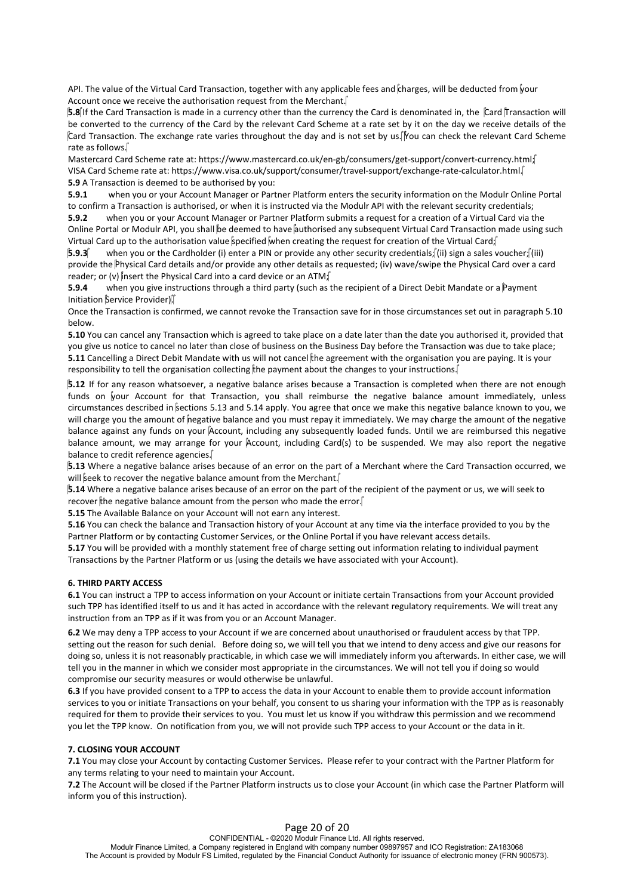API. The value of the Virtual Card Transaction, together with any applicable fees and charges, will be deducted from your Account once we receive the authorisation request from the Merchant.

**5.8**If the Card Transaction is made in a currency other than the currency the Card is denominated in, the Card Transaction will be converted to the currency of the Card by the relevant Card Scheme at a rate set by it on the day we receive details of the Card Transaction. The exchange rate varies throughout the day and is not set by us. Nou can check the relevant Card Scheme rate as follows.

Mastercard Card Scheme rate at: https://www.mastercard.co.uk/en-gb/consumers/get-support/convert-currency.html; VISA Card Scheme rate at: https://www.visa.co.uk/support/consumer/travel-support/exchange-rate-calculator.html. **5.9** A Transaction is deemed to be authorised by you:

**5.9.1** when you or your Account Manager or Partner Platform enters the security information on the Modulr Online Portal to confirm a Transaction is authorised, or when it is instructed via the Modulr API with the relevant security credentials;

**5.9.2** when you or your Account Manager or Partner Platform submits a request for a creation of a Virtual Card via the Online Portal or Modulr API, you shall be deemed to have authorised any subsequent Virtual Card Transaction made using such Virtual Card up to the authorisation value specified when creating the request for creation of the Virtual Card;

**5.9.3** when you or the Cardholder (i) enter a PIN or provide any other security credentials; (ii) sign a sales voucher; (iii) provide the Physical Card details and/or provide any other details as requested; (iv) wave/swipe the Physical Card over a card reader; or (v) insert the Physical Card into a card device or an ATM;

**5.9.4** when you give instructions through a third party (such as the recipient of a Direct Debit Mandate or a Payment Initiation Service Provider).

Once the Transaction is confirmed, we cannot revoke the Transaction save for in those circumstances set out in paragraph 5.10 below.

**5.10** You can cancel any Transaction which is agreed to take place on a date later than the date you authorised it, provided that you give us notice to cancel no later than close of business on the Business Day before the Transaction was due to take place; **5.11** Cancelling a Direct Debit Mandate with us will not cancel the agreement with the organisation you are paying. It is your responsibility to tell the organisation collecting the payment about the changes to your instructions.

**5.12** If for any reason whatsoever, a negative balance arises because a Transaction is completed when there are not enough funds on your Account for that Transaction, you shall reimburse the negative balance amount immediately, unless circumstances described in *fections* 5.13 and 5.14 apply. You agree that once we make this negative balance known to you, we<br>will charge you the amount of *finegative balance and you must repay it immediately*. We may cha balance against any funds on your Account, including any subsequently loaded funds. Until we are reimbursed this negative balance amount, we may arrange for your Account, including Card(s) to be suspended. We may also report the negative balance to credit reference agencies.

**5.13** Where a negative balance arises because of an error on the part of a Merchant where the Card Transaction occurred, we<br>will seek to recover the negative balance amount from the Merchant.

**5.14** Where a negative balance arises because of an error on the part of the recipient of the payment or us, we will seek to recover the negative balance amount from the person who made the error.

**5.15** The Available Balance on your Account will not earn any interest.

**5.16** You can check the balance and Transaction history of your Account at any time via the interface provided to you by the Partner Platform or by contacting Customer Services, or the Online Portal if you have relevant access details.

**5.17** You will be provided with a monthly statement free of charge setting out information relating to individual payment Transactions by the Partner Platform or us (using the details we have associated with your Account).

### **6. THIRD PARTY ACCESS**

**6.1** You can instruct a TPP to access information on your Account or initiate certain Transactions from your Account provided such TPP has identified itself to us and it has acted in accordance with the relevant regulatory requirements. We will treat any instruction from an TPP as if it was from you or an Account Manager.

**6.2** We may deny a TPP access to your Account if we are concerned about unauthorised or fraudulent access by that TPP. setting out the reason for such denial. Before doing so, we will tell you that we intend to deny access and give our reasons for doing so, unless it is not reasonably practicable, in which case we will immediately inform you afterwards. In either case, we will tell you in the manner in which we consider most appropriate in the circumstances. We will not tell you if doing so would compromise our security measures or would otherwise be unlawful.

**6.3** If you have provided consent to a TPP to access the data in your Account to enable them to provide account information services to you or initiate Transactions on your behalf, you consent to us sharing your information with the TPP as is reasonably required for them to provide their services to you. You must let us know if you withdraw this permission and we recommend you let the TPP know. On notification from you, we will not provide such TPP access to your Account or the data in it.

#### **7. CLOSING YOUR ACCOUNT**

**7.1** You may close your Account by contacting Customer Services. Please refer to your contract with the Partner Platform for any terms relating to your need to maintain your Account.

**7.2** The Account will be closed if the Partner Platform instructs us to close your Account (in which case the Partner Platform will inform you of this instruction).

### Page 20 of 20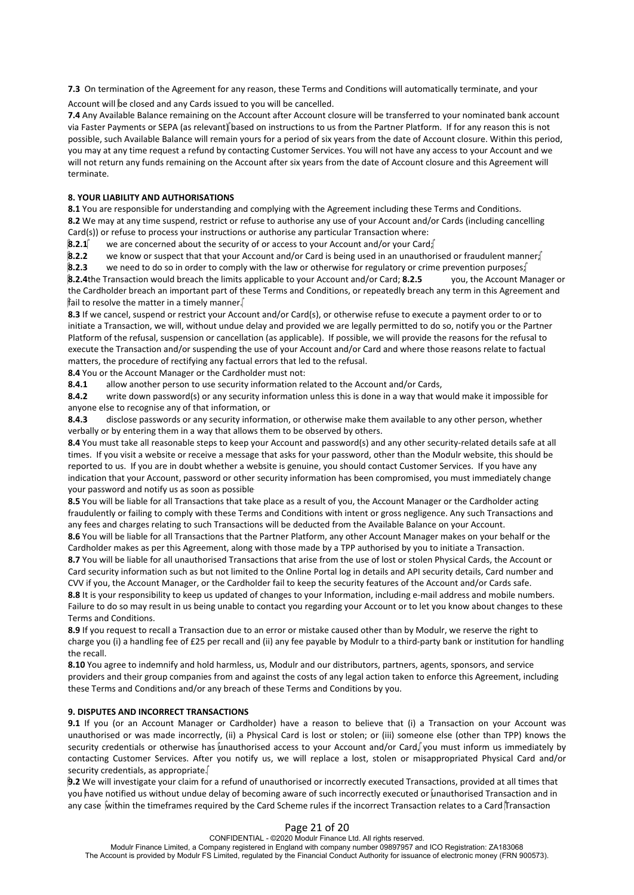**7.3** On termination of the Agreement for any reason, these Terms and Conditions will automatically terminate, and your

Account will be closed and any Cards issued to you will be cancelled.

**7.4** Any Available Balance remaining on the Account after Account closure will be transferred to your nominated bank account via Faster Payments or SEPA (as relevant) based on instructions to us from the Partner Platform. If for any reason this is not possible, such Available Balance will remain yours for a period of six years from the date of Account closure. Within this period, you may at any time request a refund by contacting Customer Services. You will not have any access to your Account and we will not return any funds remaining on the Account after six years from the date of Account closure and this Agreement will terminate.

## **8. YOUR LIABILITY AND AUTHORISATIONS**

**8.1** You are responsible for understanding and complying with the Agreement including these Terms and Conditions. **8.2** We may at any time suspend, restrict or refuse to authorise any use of your Account and/or Cards (including cancelling Card(s)) or refuse to process your instructions or authorise any particular Transaction where:

**8.2.1** we are concerned about the security of or access to your Account and/or your Card;

**8.2.2** we know or suspect that that your Account and/or Card is being used in an unauthorised or fraudulent manner;

**8.2.3** we need to do so in order to comply with the law or otherwise for regulatory or crime prevention purposes;

**8.2.4**the Transaction would breach the limits applicable to your Account and/or Card; **8.2.5** you, the Account Manager or the Cardholder breach an important part of these Terms and Conditions, or repeatedly breach any term in this Agreement and  $\|\hat{\mathsf{fail}}\|$  to resolve the matter in a timely manner.

**8.3** If we cancel, suspend or restrict your Account and/or Card(s), or otherwise refuse to execute a payment order to or to initiate a Transaction, we will, without undue delay and provided we are legally permitted to do so, notify you or the Partner Platform of the refusal, suspension or cancellation (as applicable). If possible, we will provide the reasons for the refusal to execute the Transaction and/or suspending the use of your Account and/or Card and where those reasons relate to factual matters, the procedure of rectifying any factual errors that led to the refusal.

**8.4** You or the Account Manager or the Cardholder must not:

**8.4.1** allow another person to use security information related to the Account and/or Cards,

**8.4.2** write down password(s) or any security information unless this is done in a way that would make it impossible for anyone else to recognise any of that information, or

**8.4.3** disclose passwords or any security information, or otherwise make them available to any other person, whether verbally or by entering them in a way that allows them to be observed by others.

8.4 You must take all reasonable steps to keep your Account and password(s) and any other security-related details safe at all times. If you visit a website or receive a message that asks for your password, other than the Modulr website, this should be reported to us. If you are in doubt whether a website is genuine, you should contact Customer Services. If you have any indication that your Account, password or other security information has been compromised, you must immediately change your password and notify us as soon as possible.

**8.5** You will be liable for all Transactions that take place as a result of you, the Account Manager or the Cardholder acting fraudulently or failing to comply with these Terms and Conditions with intent or gross negligence. Any such Transactions and any fees and charges relating to such Transactions will be deducted from the Available Balance on your Account.

**8.6** You will be liable for all Transactions that the Partner Platform, any other Account Manager makes on your behalf or the Cardholder makes as per this Agreement, along with those made by a TPP authorised by you to initiate a Transaction.

**8.7** You will be liable for all unauthorised Transactions that arise from the use of lost or stolen Physical Cards, the Account or Card security information such as but not limited to the Online Portal log in details and API security details, Card number and CVV if you, the Account Manager, or the Cardholder fail to keep the security features of the Account and/or Cards safe. **8.8** It is your responsibility to keep us updated of changes to your Information, including e-mail address and mobile numbers. Failure to do so may result in us being unable to contact you regarding your Account or to let you know about changes to these Terms and Conditions.

**8.9** If you request to recall a Transaction due to an error or mistake caused other than by Modulr, we reserve the right to charge you (i) a handling fee of £25 per recall and (ii) any fee payable by Modulr to a third-party bank or institution for handling the recall.

**8.10** You agree to indemnify and hold harmless, us, Modulr and our distributors, partners, agents, sponsors, and service providers and their group companies from and against the costs of any legal action taken to enforce this Agreement, including these Terms and Conditions and/or any breach of these Terms and Conditions by you.

## **9. DISPUTES AND INCORRECT TRANSACTIONS**

9.1 If you (or an Account Manager or Cardholder) have a reason to believe that (i) a Transaction on your Account was<br>unauthorised or was made incorrectly, (ii) a Physical Card is lost or stolen; or (iii) someone else (othe security credentials or otherwise has unauthorised access to your Account and/or Card, you must inform us immediately by contacting Customer Services. After you notify us, we will replace a lost, stolen or misappropriated Physical Card and/or security credentials, as appropriate.

**9.2** We will investigate your claim for a refund of unauthorised or incorrectly executed Transactions, provided at all times that you have notified us without undue delay of becoming aware of such incorrectly executed or unauthorised Transaction and in any case within the timeframes required by the Card Scheme rules if the incorrect Transaction relates to a Card Transaction

### Page 21 of 20 CONFIDENTIAL - ©2020 Modulr Finance Ltd. All rights reserved.

Modulr Finance Limited, a Company registered in England with company number 09897957 and ICO Registration: ZA183068 The Account is provided by Modulr FS Limited, regulated by the Financial Conduct Authority for issuance of electronic money (FRN 900573).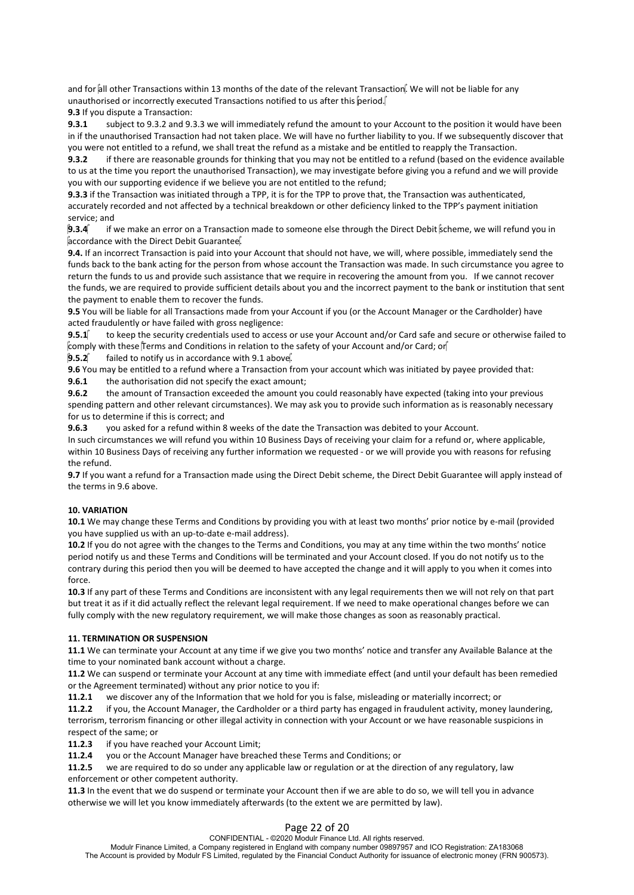and for all other Transactions within 13 months of the date of the relevant Transaction. We will not be liable for any unauthorised or incorrectly executed Transactions notified to us after this  $\phi$ eriod.

**9.3** If you dispute a Transaction:

**9.3.1** subject to 9.3.2 and 9.3.3 we will immediately refund the amount to your Account to the position it would have been in if the unauthorised Transaction had not taken place. We will have no further liability to you. If we subsequently discover that you were not entitled to a refund, we shall treat the refund as a mistake and be entitled to reapply the Transaction.

**9.3.2** if there are reasonable grounds for thinking that you may not be entitled to a refund (based on the evidence available to us at the time you report the unauthorised Transaction), we may investigate before giving you a refund and we will provide you with our supporting evidence if we believe you are not entitled to the refund;

**9.3.3** if the Transaction was initiated through a TPP, it is for the TPP to prove that, the Transaction was authenticated, accurately recorded and not affected by a technical breakdown or other deficiency linked to the TPP's payment initiation service; and

**9.3.4** if we make an error on a Transaction made to someone else through the Direct Debit scheme, we will refund you in accordance with the Direct Debit Guarantee.

**9.4.** If an incorrect Transaction is paid into your Account that should not have, we will, where possible, immediately send the funds back to the bank acting for the person from whose account the Transaction was made. In such circumstance you agree to return the funds to us and provide such assistance that we require in recovering the amount from you. If we cannot recover the funds, we are required to provide sufficient details about you and the incorrect payment to the bank or institution that sent the payment to enable them to recover the funds.

**9.5** You will be liable for all Transactions made from your Account if you (or the Account Manager or the Cardholder) have acted fraudulently or have failed with gross negligence:

**9.5.1** to keep the security credentials used to access or use your Account and/or Card safe and secure or otherwise failed to comply with these  $\mathring{\text{Term}}$  and Conditions in relation to the safety of your Account and/or Card; or

**9.5.2** failed to notify us in accordance with 9.1 above.

**9.6** You may be entitled to a refund where a Transaction from your account which was initiated by payee provided that:

**9.6.1** the authorisation did not specify the exact amount;

**9.6.2** the amount of Transaction exceeded the amount you could reasonably have expected (taking into your previous spending pattern and other relevant circumstances). We may ask you to provide such information as is reasonably necessary for us to determine if this is correct; and

**9.6.3** you asked for a refund within 8 weeks of the date the Transaction was debited to your Account.

In such circumstances we will refund you within 10 Business Days of receiving your claim for a refund or, where applicable, within 10 Business Days of receiving any further information we requested - or we will provide you with reasons for refusing the refund.

**9.7** If you want a refund for a Transaction made using the Direct Debit scheme, the Direct Debit Guarantee will apply instead of the terms in 9.6 above.

### **10. VARIATION**

**10.1** We may change these Terms and Conditions by providing you with at least two months' prior notice by e-mail (provided you have supplied us with an up-to-date e-mail address).

**10.2** If you do not agree with the changes to the Terms and Conditions, you may at any time within the two months' notice period notify us and these Terms and Conditions will be terminated and your Account closed. If you do not notify us to the contrary during this period then you will be deemed to have accepted the change and it will apply to you when it comes into force.

**10.3** If any part of these Terms and Conditions are inconsistent with any legal requirements then we will not rely on that part but treat it as if it did actually reflect the relevant legal requirement. If we need to make operational changes before we can fully comply with the new regulatory requirement, we will make those changes as soon as reasonably practical.

### **11. TERMINATION OR SUSPENSION**

**11.1** We can terminate your Account at any time if we give you two months' notice and transfer any Available Balance at the time to your nominated bank account without a charge.

**11.2** We can suspend or terminate your Account at any time with immediate effect (and until your default has been remedied or the Agreement terminated) without any prior notice to you if:

**11.2.1** we discover any of the Information that we hold for you is false, misleading or materially incorrect; or

**11.2.2** if you, the Account Manager, the Cardholder or a third party has engaged in fraudulent activity, money laundering, terrorism, terrorism financing or other illegal activity in connection with your Account or we have reasonable suspicions in respect of the same; or

**11.2.3** if you have reached your Account Limit;

**11.2.4** you or the Account Manager have breached these Terms and Conditions; or

**11.2.5** we are required to do so under any applicable law or regulation or at the direction of any regulatory, law enforcement or other competent authority.

**11.3** In the event that we do suspend or terminate your Account then if we are able to do so, we will tell you in advance otherwise we will let you know immediately afterwards (to the extent we are permitted by law).

## Page 22 of 20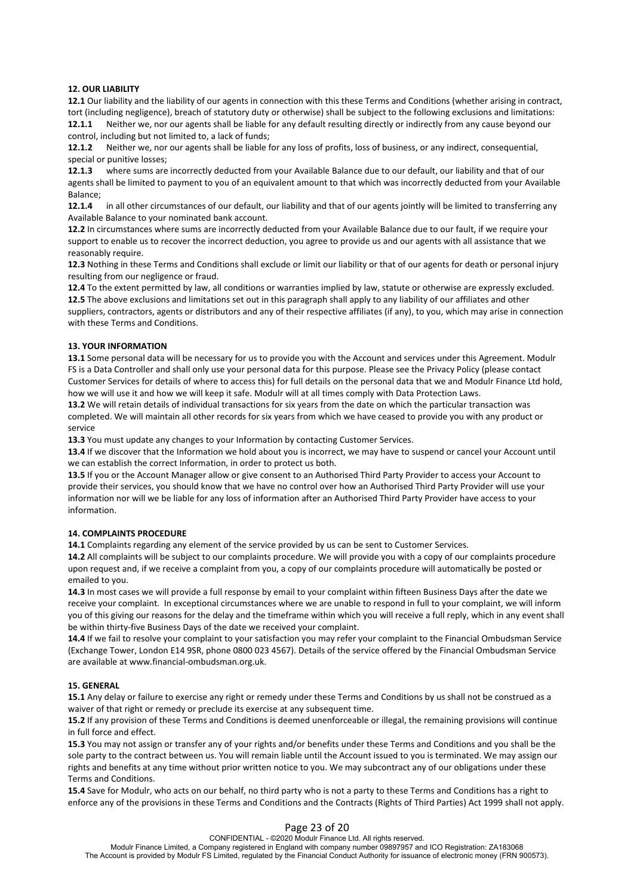#### **12. OUR LIABILITY**

**12.1** Our liability and the liability of our agents in connection with this these Terms and Conditions (whether arising in contract, tort (including negligence), breach of statutory duty or otherwise) shall be subject to the following exclusions and limitations: **12.1.1** Neither we, nor our agents shall be liable for any default resulting directly or indirectly from any cause beyond our control, including but not limited to, a lack of funds;

**12.1.2** Neither we, nor our agents shall be liable for any loss of profits, loss of business, or any indirect, consequential, special or punitive losses;

**12.1.3** where sums are incorrectly deducted from your Available Balance due to our default, our liability and that of our agents shall be limited to payment to you of an equivalent amount to that which was incorrectly deducted from your Available Balance;

**12.1.4** in all other circumstances of our default, our liability and that of our agents jointly will be limited to transferring any Available Balance to your nominated bank account.

**12.2** In circumstances where sums are incorrectly deducted from your Available Balance due to our fault, if we require your support to enable us to recover the incorrect deduction, you agree to provide us and our agents with all assistance that we reasonably require.

**12.3** Nothing in these Terms and Conditions shall exclude or limit our liability or that of our agents for death or personal injury resulting from our negligence or fraud.

**12.4** To the extent permitted by law, all conditions or warranties implied by law, statute or otherwise are expressly excluded. **12.5** The above exclusions and limitations set out in this paragraph shall apply to any liability of our affiliates and other suppliers, contractors, agents or distributors and any of their respective affiliates (if any), to you, which may arise in connection with these Terms and Conditions.

#### **13. YOUR INFORMATION**

**13.1** Some personal data will be necessary for us to provide you with the Account and services under this Agreement. Modulr FS is a Data Controller and shall only use your personal data for this purpose. Please see the Privacy Policy (please contact Customer Services for details of where to access this) for full details on the personal data that we and Modulr Finance Ltd hold, how we will use it and how we will keep it safe. Modulr will at all times comply with Data Protection Laws.

**13.2** We will retain details of individual transactions for six years from the date on which the particular transaction was completed. We will maintain all other records for six years from which we have ceased to provide you with any product or service

**13.3** You must update any changes to your Information by contacting Customer Services.

**13.4** If we discover that the Information we hold about you is incorrect, we may have to suspend or cancel your Account until we can establish the correct Information, in order to protect us both.

13.5 If you or the Account Manager allow or give consent to an Authorised Third Party Provider to access your Account to provide their services, you should know that we have no control over how an Authorised Third Party Provider will use your information nor will we be liable for any loss of information after an Authorised Third Party Provider have access to your information.

#### **14. COMPLAINTS PROCEDURE**

**14.1** Complaints regarding any element of the service provided by us can be sent to Customer Services.

**14.2** All complaints will be subject to our complaints procedure. We will provide you with a copy of our complaints procedure upon request and, if we receive a complaint from you, a copy of our complaints procedure will automatically be posted or emailed to you.

**14.3** In most cases we will provide a full response by email to your complaint within fifteen Business Days after the date we receive your complaint. In exceptional circumstances where we are unable to respond in full to your complaint, we will inform you of this giving our reasons for the delay and the timeframe within which you will receive a full reply, which in any event shall be within thirty-five Business Days of the date we received your complaint.

**14.4** If we fail to resolve your complaint to your satisfaction you may refer your complaint to the Financial Ombudsman Service (Exchange Tower, London E14 9SR, phone 0800 023 4567). Details of the service offered by the Financial Ombudsman Service are available at www.financial-ombudsman.org.uk.

#### **15. GENERAL**

**15.1** Any delay or failure to exercise any right or remedy under these Terms and Conditions by us shall not be construed as a waiver of that right or remedy or preclude its exercise at any subsequent time.

**15.2** If any provision of these Terms and Conditions is deemed unenforceable or illegal, the remaining provisions will continue in full force and effect.

**15.3** You may not assign or transfer any of your rights and/or benefits under these Terms and Conditions and you shall be the sole party to the contract between us. You will remain liable until the Account issued to you is terminated. We may assign our rights and benefits at any time without prior written notice to you. We may subcontract any of our obligations under these Terms and Conditions.

**15.4** Save for Modulr, who acts on our behalf, no third party who is not a party to these Terms and Conditions has a right to enforce any of the provisions in these Terms and Conditions and the Contracts (Rights of Third Parties) Act 1999 shall not apply.

## Page 23 of 20